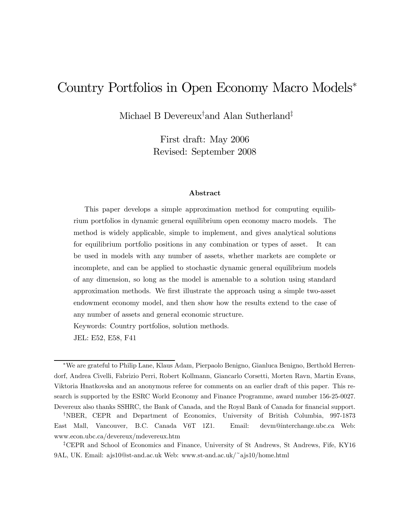# Country Portfolios in Open Economy Macro Models<sup>∗</sup>

Michael B Devereux† and Alan Sutherland‡

First draft: May 2006 Revised: September 2008

#### Abstract

This paper develops a simple approximation method for computing equilibrium portfolios in dynamic general equilibrium open economy macro models. The method is widely applicable, simple to implement, and gives analytical solutions for equilibrium portfolio positions in any combination or types of asset. It can be used in models with any number of assets, whether markets are complete or incomplete, and can be applied to stochastic dynamic general equilibrium models of any dimension, so long as the model is amenable to a solution using standard approximation methods. We first illustrate the approach using a simple two-asset endowment economy model, and then show how the results extend to the case of any number of assets and general economic structure.

Keywords: Country portfolios, solution methods.

JEL: E52, E58, F41

<sup>∗</sup>We are grateful to Philip Lane, Klaus Adam, Pierpaolo Benigno, Gianluca Benigno, Berthold Herrendorf, Andrea Civelli, Fabrizio Perri, Robert Kollmann, Giancarlo Corsetti, Morten Ravn, Martin Evans, Viktoria Hnatkovska and an anonymous referee for comments on an earlier draft of this paper. This research is supported by the ESRC World Economy and Finance Programme, award number 156-25-0027. Devereux also thanks SSHRC, the Bank of Canada, and the Royal Bank of Canada for financial support.

<sup>†</sup>NBER, CEPR and Department of Economics, University of British Columbia, 997-1873 East Mall, Vancouver, B.C. Canada V6T 1Z1. Email: devm@interchange.ubc.ca Web: www.econ.ubc.ca/devereux/mdevereux.htm

<sup>‡</sup>CEPR and School of Economics and Finance, University of St Andrews, St Andrews, Fife, KY16 9AL, UK. Email: ajs10@st-and.ac.uk Web: www.st-and.ac.uk/~ajs10/home.html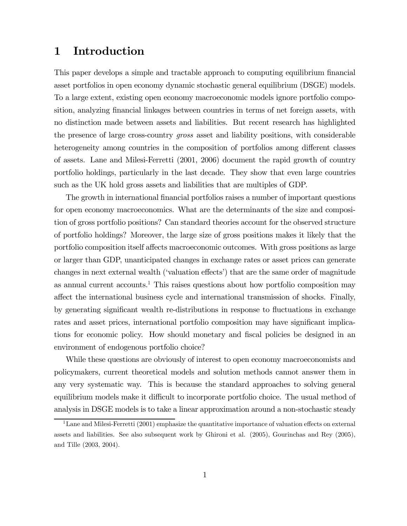### 1 Introduction

This paper develops a simple and tractable approach to computing equilibrium financial asset portfolios in open economy dynamic stochastic general equilibrium (DSGE) models. To a large extent, existing open economy macroeconomic models ignore portfolio composition, analyzing financial linkages between countries in terms of net foreign assets, with no distinction made between assets and liabilities. But recent research has highlighted the presence of large cross-country gross asset and liability positions, with considerable heterogeneity among countries in the composition of portfolios among different classes of assets. Lane and Milesi-Ferretti (2001, 2006) document the rapid growth of country portfolio holdings, particularly in the last decade. They show that even large countries such as the UK hold gross assets and liabilities that are multiples of GDP.

The growth in international financial portfolios raises a number of important questions for open economy macroeconomics. What are the determinants of the size and composition of gross portfolio positions? Can standard theories account for the observed structure of portfolio holdings? Moreover, the large size of gross positions makes it likely that the portfolio composition itself affects macroeconomic outcomes. With gross positions as large or larger than GDP, unanticipated changes in exchange rates or asset prices can generate changes in next external wealth ('valuation effects') that are the same order of magnitude as annual current accounts.<sup>1</sup> This raises questions about how portfolio composition may affect the international business cycle and international transmission of shocks. Finally, by generating significant wealth re-distributions in response to fluctuations in exchange rates and asset prices, international portfolio composition may have significant implications for economic policy. How should monetary and fiscal policies be designed in an environment of endogenous portfolio choice?

While these questions are obviously of interest to open economy macroeconomists and policymakers, current theoretical models and solution methods cannot answer them in any very systematic way. This is because the standard approaches to solving general equilibrium models make it difficult to incorporate portfolio choice. The usual method of analysis in DSGE models is to take a linear approximation around a non-stochastic steady

<sup>&</sup>lt;sup>1</sup>Lane and Milesi-Ferretti (2001) emphasize the quantitative importance of valuation effects on external assets and liabilities. See also subsequent work by Ghironi et al. (2005), Gourinchas and Rey (2005), and Tille (2003, 2004).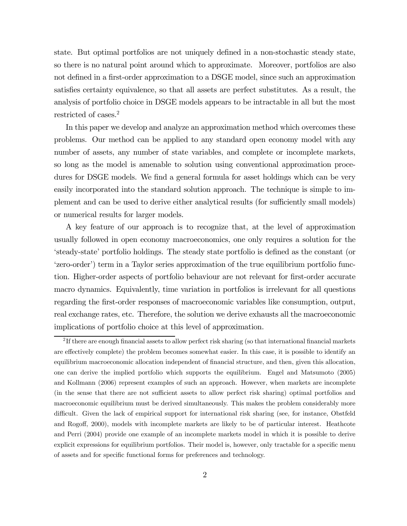state. But optimal portfolios are not uniquely defined in a non-stochastic steady state, so there is no natural point around which to approximate. Moreover, portfolios are also not defined in a first-order approximation to a DSGE model, since such an approximation satisfies certainty equivalence, so that all assets are perfect substitutes. As a result, the analysis of portfolio choice in DSGE models appears to be intractable in all but the most restricted of cases.2

In this paper we develop and analyze an approximation method which overcomes these problems. Our method can be applied to any standard open economy model with any number of assets, any number of state variables, and complete or incomplete markets, so long as the model is amenable to solution using conventional approximation procedures for DSGE models. We find a general formula for asset holdings which can be very easily incorporated into the standard solution approach. The technique is simple to implement and can be used to derive either analytical results (for sufficiently small models) or numerical results for larger models.

A key feature of our approach is to recognize that, at the level of approximation usually followed in open economy macroeconomics, one only requires a solution for the 'steady-state' portfolio holdings. The steady state portfolio is defined as the constant (or 'zero-order') term in a Taylor series approximation of the true equilibrium portfolio function. Higher-order aspects of portfolio behaviour are not relevant for first-order accurate macro dynamics. Equivalently, time variation in portfolios is irrelevant for all questions regarding the first-order responses of macroeconomic variables like consumption, output, real exchange rates, etc. Therefore, the solution we derive exhausts all the macroeconomic implications of portfolio choice at this level of approximation.

<sup>&</sup>lt;sup>2</sup>If there are enough financial assets to allow perfect risk sharing (so that international financial markets are effectively complete) the problem becomes somewhat easier. In this case, it is possible to identify an equilibrium macroeconomic allocation independent of financial structure, and then, given this allocation, one can derive the implied portfolio which supports the equilibrium. Engel and Matsumoto (2005) and Kollmann (2006) represent examples of such an approach. However, when markets are incomplete (in the sense that there are not sufficient assets to allow perfect risk sharing) optimal portfolios and macroeconomic equilibrium must be derived simultaneously. This makes the problem considerably more difficult. Given the lack of empirical support for international risk sharing (see, for instance, Obstfeld and Rogoff, 2000), models with incomplete markets are likely to be of particular interest. Heathcote and Perri (2004) provide one example of an incomplete markets model in which it is possible to derive explicit expressions for equilibrium portfolios. Their model is, however, only tractable for a specific menu of assets and for specific functional forms for preferences and technology.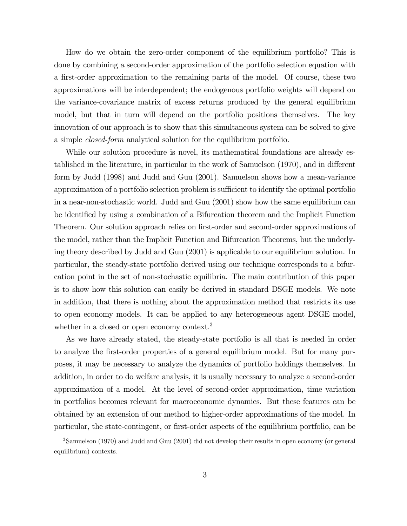How do we obtain the zero-order component of the equilibrium portfolio? This is done by combining a second-order approximation of the portfolio selection equation with a first-order approximation to the remaining parts of the model. Of course, these two approximations will be interdependent; the endogenous portfolio weights will depend on the variance-covariance matrix of excess returns produced by the general equilibrium model, but that in turn will depend on the portfolio positions themselves. The key innovation of our approach is to show that this simultaneous system can be solved to give a simple closed-form analytical solution for the equilibrium portfolio.

While our solution procedure is novel, its mathematical foundations are already established in the literature, in particular in the work of Samuelson (1970), and in different form by Judd (1998) and Judd and Guu (2001). Samuelson shows how a mean-variance approximation of a portfolio selection problem is sufficient to identify the optimal portfolio in a near-non-stochastic world. Judd and Guu (2001) show how the same equilibrium can be identified by using a combination of a Bifurcation theorem and the Implicit Function Theorem. Our solution approach relies on first-order and second-order approximations of the model, rather than the Implicit Function and Bifurcation Theorems, but the underlying theory described by Judd and Guu (2001) is applicable to our equilibrium solution. In particular, the steady-state portfolio derived using our technique corresponds to a bifurcation point in the set of non-stochastic equilibria. The main contribution of this paper is to show how this solution can easily be derived in standard DSGE models. We note in addition, that there is nothing about the approximation method that restricts its use to open economy models. It can be applied to any heterogeneous agent DSGE model, whether in a closed or open economy context.<sup>3</sup>

As we have already stated, the steady-state portfolio is all that is needed in order to analyze the first-order properties of a general equilibrium model. But for many purposes, it may be necessary to analyze the dynamics of portfolio holdings themselves. In addition, in order to do welfare analysis, it is usually necessary to analyze a second-order approximation of a model. At the level of second-order approximation, time variation in portfolios becomes relevant for macroeconomic dynamics. But these features can be obtained by an extension of our method to higher-order approximations of the model. In particular, the state-contingent, or first-order aspects of the equilibrium portfolio, can be

<sup>3</sup>Samuelson (1970) and Judd and Guu (2001) did not develop their results in open economy (or general equilibrium) contexts.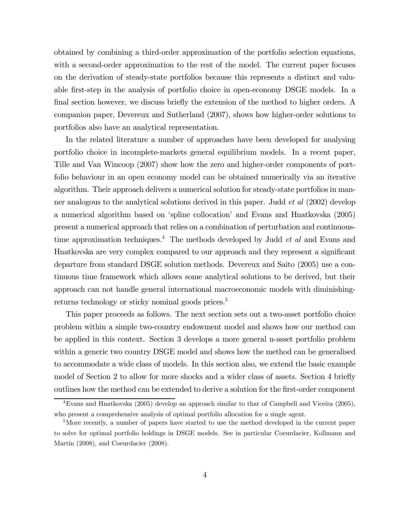obtained by combining a third-order approximation of the portfolio selection equations, with a second-order approximation to the rest of the model. The current paper focuses on the derivation of steady-state portfolios because this represents a distinct and valuable first-step in the analysis of portfolio choice in open-economy DSGE models. In a final section however, we discuss briefly the extension of the method to higher orders. A companion paper, Devereux and Sutherland (2007), shows how higher-order solutions to portfolios also have an analytical representation.

In the related literature a number of approaches have been developed for analysing portfolio choice in incomplete-markets general equilibrium models. In a recent paper, Tille and Van Wincoop (2007) show how the zero and higher-order components of portfolio behaviour in an open economy model can be obtained numerically via an iterative algorithm. Their approach delivers a numerical solution for steady-state portfolios in manner analogous to the analytical solutions derived in this paper. Judd *et al* (2002) develop a numerical algorithm based on 'spline collocation' and Evans and Hnatkovska (2005) present a numerical approach that relies on a combination of perturbation and continuoustime approximation techniques.<sup>4</sup> The methods developed by Judd *et al* and Evans and Hnatkovska are very complex compared to our approach and they represent a significant departure from standard DSGE solution methods. Devereux and Saito (2005) use a continuous time framework which allows some analytical solutions to be derived, but their approach can not handle general international macroeconomic models with diminishingreturns technology or sticky nominal goods prices.<sup>5</sup>

This paper proceeds as follows. The next section sets out a two-asset portfolio choice problem within a simple two-country endowment model and shows how our method can be applied in this context. Section 3 develops a more general n-asset portfolio problem within a generic two country DSGE model and shows how the method can be generalised to accommodate a wide class of models. In this section also, we extend the basic example model of Section 2 to allow for more shocks and a wider class of assets. Section 4 briefly outlines how the method can be extended to derive a solution for the first-order component

<sup>&</sup>lt;sup>4</sup>Evans and Hnatkovska (2005) develop an approach similar to that of Campbell and Viceira (2005), who present a comprehensive analysis of optimal portfolio allocation for a single agent.

<sup>&</sup>lt;sup>5</sup>More recently, a number of papers have started to use the method developed in the current paper to solve for optimal portfolio holdings in DSGE models. See in particular Coeurdacier, Kollmann and Martin (2008), and Coeurdacier (2008).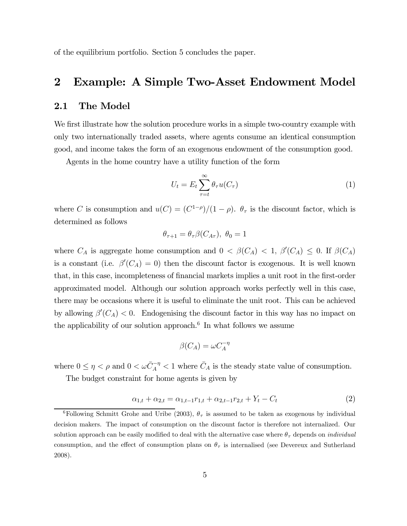of the equilibrium portfolio. Section 5 concludes the paper.

### 2 Example: A Simple Two-Asset Endowment Model

### 2.1 The Model

We first illustrate how the solution procedure works in a simple two-country example with only two internationally traded assets, where agents consume an identical consumption good, and income takes the form of an exogenous endowment of the consumption good.

Agents in the home country have a utility function of the form

$$
U_t = E_t \sum_{\tau=t}^{\infty} \theta_{\tau} u(C_{\tau})
$$
\n(1)

where C is consumption and  $u(C)=(C^{1-\rho})/(1-\rho)$ .  $\theta_{\tau}$  is the discount factor, which is determined as follows

$$
\theta_{\tau+1} = \theta_{\tau} \beta(C_{A\tau}), \ \theta_0 = 1
$$

where  $C_A$  is aggregate home consumption and  $0 < \beta(C_A) < 1, \beta'(C_A) \leq 0$ . If  $\beta(C_A)$ is a constant (i.e.  $\beta'(C_A) = 0$ ) then the discount factor is exogenous. It is well known that, in this case, incompleteness of financial markets implies a unit root in the first-order approximated model. Although our solution approach works perfectly well in this case, there may be occasions where it is useful to eliminate the unit root. This can be achieved by allowing  $\beta'(C_A) < 0$ . Endogenising the discount factor in this way has no impact on the applicability of our solution approach.<sup>6</sup> In what follows we assume

$$
\beta(C_A) = \omega C_A^{-\eta}
$$

where  $0 \leq \eta < \rho$  and  $0 < \omega \bar{C}_A^{-\eta} < 1$  where  $\bar{C}_A$  is the steady state value of consumption.

The budget constraint for home agents is given by

$$
\alpha_{1,t} + \alpha_{2,t} = \alpha_{1,t-1} r_{1,t} + \alpha_{2,t-1} r_{2,t} + Y_t - C_t \tag{2}
$$

<sup>&</sup>lt;sup>6</sup>Following Schmitt Grohe and Uribe (2003),  $\theta_{\tau}$  is assumed to be taken as exogenous by individual decision makers. The impact of consumption on the discount factor is therefore not internalized. Our solution approach can be easily modified to deal with the alternative case where  $\theta_{\tau}$  depends on *individual* consumption, and the effect of consumption plans on  $\theta_{\tau}$  is internalised (see Devereux and Sutherland 2008).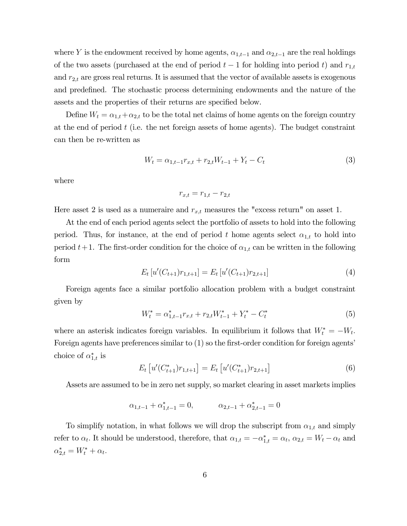where Y is the endowment received by home agents,  $\alpha_{1,t-1}$  and  $\alpha_{2,t-1}$  are the real holdings of the two assets (purchased at the end of period  $t-1$  for holding into period t) and  $r_{1,t}$ and  $r_{2,t}$  are gross real returns. It is assumed that the vector of available assets is exogenous and predefined. The stochastic process determining endowments and the nature of the assets and the properties of their returns are specified below.

Define  $W_t = \alpha_{1,t} + \alpha_{2,t}$  to be the total net claims of home agents on the foreign country at the end of period  $t$  (i.e. the net foreign assets of home agents). The budget constraint can then be re-written as

$$
W_t = \alpha_{1,t-1} r_{x,t} + r_{2,t} W_{t-1} + Y_t - C_t \tag{3}
$$

where

$$
r_{x,t} = r_{1,t} - r_{2,t}
$$

Here asset 2 is used as a numeraire and  $r_{x,t}$  measures the "excess return" on asset 1.

At the end of each period agents select the portfolio of assets to hold into the following period. Thus, for instance, at the end of period t home agents select  $\alpha_{1,t}$  to hold into period  $t+1$ . The first-order condition for the choice of  $\alpha_{1,t}$  can be written in the following form

$$
E_t[u'(C_{t+1})r_{1,t+1}] = E_t[u'(C_{t+1})r_{2,t+1}] \tag{4}
$$

Foreign agents face a similar portfolio allocation problem with a budget constraint given by

$$
W_t^* = \alpha_{1,t-1}^* r_{x,t} + r_{2,t} W_{t-1}^* + Y_t^* - C_t^* \tag{5}
$$

where an asterisk indicates foreign variables. In equilibrium it follows that  $W_t^* = -W_t$ . Foreign agents have preferences similar to (1) so the first-order condition for foreign agents' choice of  $\alpha_{1,t}^*$  is

$$
E_t\left[u'(C_{t+1}^*)r_{1,t+1}\right] = E_t\left[u'(C_{t+1}^*)r_{2,t+1}\right]
$$
\n(6)

Assets are assumed to be in zero net supply, so market clearing in asset markets implies

$$
\alpha_{1,t-1} + \alpha_{1,t-1}^* = 0, \qquad \alpha_{2,t-1} + \alpha_{2,t-1}^* = 0
$$

To simplify notation, in what follows we will drop the subscript from  $\alpha_{1,t}$  and simply refer to  $\alpha_t$ . It should be understood, therefore, that  $\alpha_{1,t} = -\alpha_{1,t}^* = \alpha_t$ ,  $\alpha_{2,t} = W_t - \alpha_t$  and  $\alpha_{2,t}^* = W_t^* + \alpha_t.$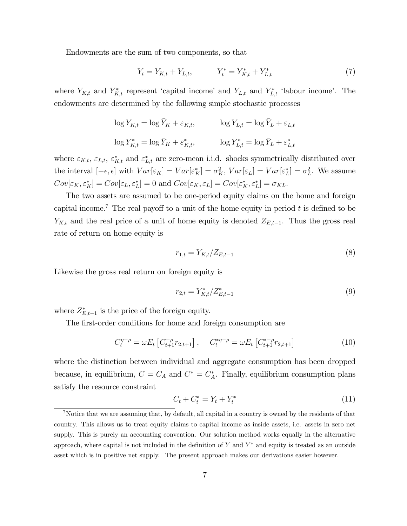Endowments are the sum of two components, so that

$$
Y_t = Y_{K,t} + Y_{L,t}, \qquad Y_t^* = Y_{K,t}^* + Y_{L,t}^* \tag{7}
$$

where  $Y_{K,t}$  and  $Y_{K,t}^*$  represent 'capital income' and  $Y_{L,t}$  and  $Y_{L,t}^*$  'labour income'. The endowments are determined by the following simple stochastic processes

$$
\log Y_{K,t} = \log \bar{Y}_K + \varepsilon_{K,t}, \qquad \log Y_{L,t} = \log \bar{Y}_L + \varepsilon_{L,t}
$$
  

$$
\log Y_{K,t}^* = \log \bar{Y}_K + \varepsilon_{K,t}^*, \qquad \log Y_{L,t}^* = \log \bar{Y}_L + \varepsilon_{L,t}^*
$$

where  $\varepsilon_{K,t}$ ,  $\varepsilon_{L,t}$ ,  $\varepsilon_{K,t}^*$  and  $\varepsilon_{L,t}^*$  are zero-mean i.i.d. shocks symmetrically distributed over the interval  $[-\epsilon, \epsilon]$  with  $Var[\epsilon_K] = Var[\epsilon_K^*] = \sigma_K^2$ ,  $Var[\epsilon_L] = Var[\epsilon_L^*] = \sigma_L^2$ . We assume  $Cov[\varepsilon_K, \varepsilon_K^*] = Cov[\varepsilon_L, \varepsilon_L^*] = 0$  and  $Cov[\varepsilon_K, \varepsilon_L] = Cov[\varepsilon_K^*, \varepsilon_L^*] = \sigma_{KL}$ .

The two assets are assumed to be one-period equity claims on the home and foreign capital income.<sup>7</sup> The real payoff to a unit of the home equity in period t is defined to be  $Y_{K,t}$  and the real price of a unit of home equity is denoted  $Z_{E,t-1}$ . Thus the gross real rate of return on home equity is

$$
r_{1,t} = Y_{K,t}/Z_{E,t-1}
$$
\n(8)

Likewise the gross real return on foreign equity is

$$
r_{2,t} = Y_{K,t}^* / Z_{E,t-1}^* \tag{9}
$$

where  $Z_{E,t-1}^*$  is the price of the foreign equity.

The first-order conditions for home and foreign consumption are

$$
C_t^{\eta-\rho} = \omega E_t \left[ C_{t+1}^{-\rho} r_{2,t+1} \right], \quad C_t^{*\eta-\rho} = \omega E_t \left[ C_{t+1}^{*\rho} r_{2,t+1} \right]
$$
(10)

where the distinction between individual and aggregate consumption has been dropped because, in equilibrium,  $C = C_A$  and  $C^* = C_A^*$ . Finally, equilibrium consumption plans satisfy the resource constraint

$$
C_t + C_t^* = Y_t + Y_t^* \tag{11}
$$

<sup>7</sup>Notice that we are assuming that, by default, all capital in a country is owned by the residents of that country. This allows us to treat equity claims to capital income as inside assets, i.e. assets in zero net supply. This is purely an accounting convention. Our solution method works equally in the alternative approach, where capital is not included in the definition of Y and  $Y^*$  and equity is treated as an outside asset which is in positive net supply. The present approach makes our derivations easier however.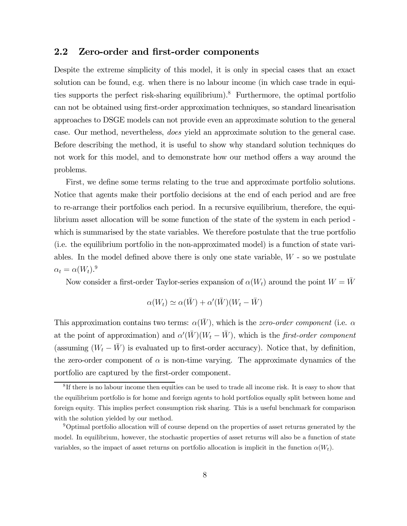#### 2.2 Zero-order and first-order components

Despite the extreme simplicity of this model, it is only in special cases that an exact solution can be found, e.g. when there is no labour income (in which case trade in equities supports the perfect risk-sharing equilibrium).<sup>8</sup> Furthermore, the optimal portfolio can not be obtained using first-order approximation techniques, so standard linearisation approaches to DSGE models can not provide even an approximate solution to the general case. Our method, nevertheless, does yield an approximate solution to the general case. Before describing the method, it is useful to show why standard solution techniques do not work for this model, and to demonstrate how our method offers a way around the problems.

First, we define some terms relating to the true and approximate portfolio solutions. Notice that agents make their portfolio decisions at the end of each period and are free to re-arrange their portfolios each period. In a recursive equilibrium, therefore, the equilibrium asset allocation will be some function of the state of the system in each period which is summarised by the state variables. We therefore postulate that the true portfolio (i.e. the equilibrium portfolio in the non-approximated model) is a function of state variables. In the model defined above there is only one state variable,  $W$  - so we postulate  $\alpha_t = \alpha(W_t).^9$ 

Now consider a first-order Taylor-series expansion of  $\alpha(W_t)$  around the point  $W = \bar{W}$ 

$$
\alpha(W_t) \simeq \alpha(\bar{W}) + \alpha'(\bar{W})(W_t - \bar{W})
$$

This approximation contains two terms:  $\alpha(\bar{W})$ , which is the *zero-order component* (i.e.  $\alpha$ at the point of approximation) and  $\alpha'(\bar{W})(W_t - \bar{W})$ , which is the *first-order component* (assuming  $(W_t - \bar{W})$  is evaluated up to first-order accuracy). Notice that, by definition, the zero-order component of  $\alpha$  is non-time varying. The approximate dynamics of the portfolio are captured by the first-order component.

 ${}^{8}$ If there is no labour income then equities can be used to trade all income risk. It is easy to show that the equilibrium portfolio is for home and foreign agents to hold portfolios equally split between home and foreign equity. This implies perfect consumption risk sharing. This is a useful benchmark for comparison with the solution yielded by our method.

<sup>9</sup>Optimal portfolio allocation will of course depend on the properties of asset returns generated by the model. In equilibrium, however, the stochastic properties of asset returns will also be a function of state variables, so the impact of asset returns on portfolio allocation is implicit in the function  $\alpha(W_t)$ .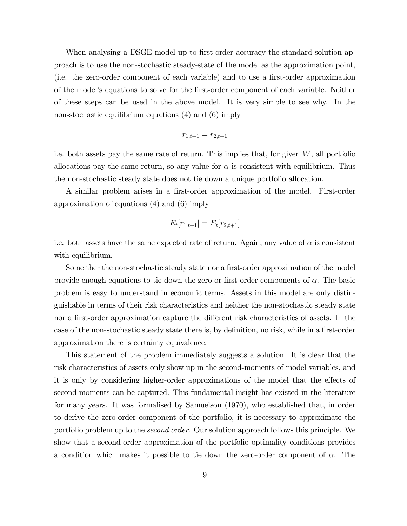When analysing a DSGE model up to first-order accuracy the standard solution approach is to use the non-stochastic steady-state of the model as the approximation point, (i.e. the zero-order component of each variable) and to use a first-order approximation of the model's equations to solve for the first-order component of each variable. Neither of these steps can be used in the above model. It is very simple to see why. In the non-stochastic equilibrium equations (4) and (6) imply

$$
r_{1,t+1} = r_{2,t+1}
$$

i.e. both assets pay the same rate of return. This implies that, for given  $W$ , all portfolio allocations pay the same return, so any value for  $\alpha$  is consistent with equilibrium. Thus the non-stochastic steady state does not tie down a unique portfolio allocation.

A similar problem arises in a first-order approximation of the model. First-order approximation of equations (4) and (6) imply

$$
E_t[r_{1,t+1}] = E_t[r_{2,t+1}]
$$

i.e. both assets have the same expected rate of return. Again, any value of  $\alpha$  is consistent with equilibrium.

So neither the non-stochastic steady state nor a first-order approximation of the model provide enough equations to tie down the zero or first-order components of  $\alpha$ . The basic problem is easy to understand in economic terms. Assets in this model are only distinguishable in terms of their risk characteristics and neither the non-stochastic steady state nor a first-order approximation capture the different risk characteristics of assets. In the case of the non-stochastic steady state there is, by definition, no risk, while in a first-order approximation there is certainty equivalence.

This statement of the problem immediately suggests a solution. It is clear that the risk characteristics of assets only show up in the second-moments of model variables, and it is only by considering higher-order approximations of the model that the effects of second-moments can be captured. This fundamental insight has existed in the literature for many years. It was formalised by Samuelson (1970), who established that, in order to derive the zero-order component of the portfolio, it is necessary to approximate the portfolio problem up to the second order. Our solution approach follows this principle. We show that a second-order approximation of the portfolio optimality conditions provides a condition which makes it possible to tie down the zero-order component of  $\alpha$ . The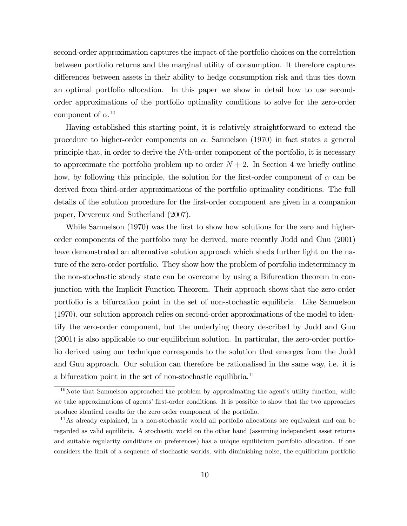second-order approximation captures the impact of the portfolio choices on the correlation between portfolio returns and the marginal utility of consumption. It therefore captures differences between assets in their ability to hedge consumption risk and thus ties down an optimal portfolio allocation. In this paper we show in detail how to use secondorder approximations of the portfolio optimality conditions to solve for the zero-order component of  $\alpha$ <sup>10</sup>

Having established this starting point, it is relatively straightforward to extend the procedure to higher-order components on  $\alpha$ . Samuelson (1970) in fact states a general principle that, in order to derive the Nth-order component of the portfolio, it is necessary to approximate the portfolio problem up to order  $N+2$ . In Section 4 we briefly outline how, by following this principle, the solution for the first-order component of  $\alpha$  can be derived from third-order approximations of the portfolio optimality conditions. The full details of the solution procedure for the first-order component are given in a companion paper, Devereux and Sutherland (2007).

While Samuelson (1970) was the first to show how solutions for the zero and higherorder components of the portfolio may be derived, more recently Judd and Guu (2001) have demonstrated an alternative solution approach which sheds further light on the nature of the zero-order portfolio. They show how the problem of portfolio indeterminacy in the non-stochastic steady state can be overcome by using a Bifurcation theorem in conjunction with the Implicit Function Theorem. Their approach shows that the zero-order portfolio is a bifurcation point in the set of non-stochastic equilibria. Like Samuelson (1970), our solution approach relies on second-order approximations of the model to identify the zero-order component, but the underlying theory described by Judd and Guu (2001) is also applicable to our equilibrium solution. In particular, the zero-order portfolio derived using our technique corresponds to the solution that emerges from the Judd and Guu approach. Our solution can therefore be rationalised in the same way, i.e. it is a bifurcation point in the set of non-stochastic equilibria.<sup>11</sup>

 $10$ Note that Samuelson approached the problem by approximating the agent's utility function, while we take approximations of agents' first-order conditions. It is possible to show that the two approaches produce identical results for the zero order component of the portfolio.

<sup>&</sup>lt;sup>11</sup>As already explained, in a non-stochastic world all portfolio allocations are equivalent and can be regarded as valid equilibria. A stochastic world on the other hand (assuming independent asset returns and suitable regularity conditions on preferences) has a unique equilibrium portfolio allocation. If one considers the limit of a sequence of stochastic worlds, with diminishing noise, the equilibrium portfolio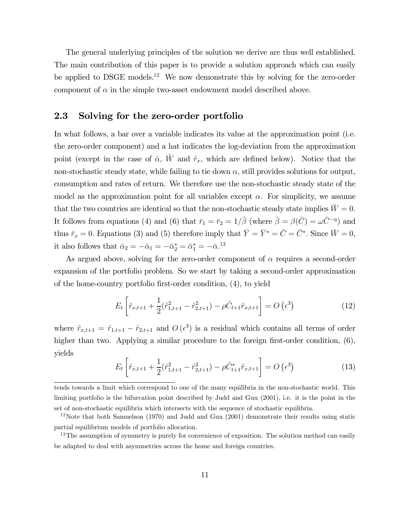The general underlying principles of the solution we derive are thus well established. The main contribution of this paper is to provide a solution approach which can easily be applied to DSGE models.<sup>12</sup> We now demonstrate this by solving for the zero-order component of  $\alpha$  in the simple two-asset endowment model described above.

### 2.3 Solving for the zero-order portfolio

In what follows, a bar over a variable indicates its value at the approximation point (i.e. the zero-order component) and a hat indicates the log-deviation from the approximation point (except in the case of  $\hat{\alpha}$ ,  $\hat{W}$  and  $\hat{r}_x$ , which are defined below). Notice that the non-stochastic steady state, while failing to tie down  $\alpha$ , still provides solutions for output, consumption and rates of return. We therefore use the non-stochastic steady state of the model as the approximation point for all variables except  $\alpha$ . For simplicity, we assume that the two countries are identical so that the non-stochastic steady state implies  $\bar{W} = 0$ . It follows from equations (4) and (6) that  $\bar{r}_1 = \bar{r}_2 = 1/\bar{\beta}$  (where  $\bar{\beta} = \beta(\bar{C}) = \omega \bar{C}^{-\eta}$ ) and thus  $\bar{r}_x = 0$ . Equations (3) and (5) therefore imply that  $\bar{Y} = \bar{Y}^* = \bar{C} = \bar{C}^*$ . Since  $\bar{W} = 0$ , it also follows that  $\bar{\alpha}_2 = -\bar{\alpha}_1 = -\bar{\alpha}_2^* = \bar{\alpha}_1^* = -\bar{\alpha}_1^{13}$ 

As argued above, solving for the zero-order component of  $\alpha$  requires a second-order expansion of the portfolio problem. So we start by taking a second-order approximation of the home-country portfolio first-order condition, (4), to yield

$$
E_t \left[ \hat{r}_{x,t+1} + \frac{1}{2} (\hat{r}_{1,t+1}^2 - \hat{r}_{2,t+1}^2) - \rho \hat{C}_{t+1} \hat{r}_{x,t+1} \right] = O\left(\epsilon^3\right)
$$
 (12)

where  $\hat{r}_{x,t+1} = \hat{r}_{1,t+1} - \hat{r}_{2,t+1}$  and  $O(\epsilon^3)$  is a residual which contains all terms of order higher than two. Applying a similar procedure to the foreign first-order condition,  $(6)$ , yields

$$
E_t \left[ \hat{r}_{x,t+1} + \frac{1}{2} (\hat{r}_{1,t+1}^2 - \hat{r}_{2,t+1}^2) - \rho \hat{C}_{t+1}^* \hat{r}_{x,t+1} \right] = O\left(\epsilon^3\right) \tag{13}
$$

tends towards a limit which correspond to one of the many equilibria in the non-stochastic world. This limiting portfolio is the bifurcation point described by Judd and Guu (2001), i.e. it is the point in the set of non-stochastic equilibria which intersects with the sequence of stochastic equilibria.

<sup>&</sup>lt;sup>12</sup>Note that both Samuelson (1970) and Judd and Guu (2001) demonstrate their results using static partial equilibrium models of portfolio allocation.

<sup>&</sup>lt;sup>13</sup>The assumption of symmetry is purely for convenience of exposition. The solution method can easily be adapted to deal with asymmetries across the home and foreign countries.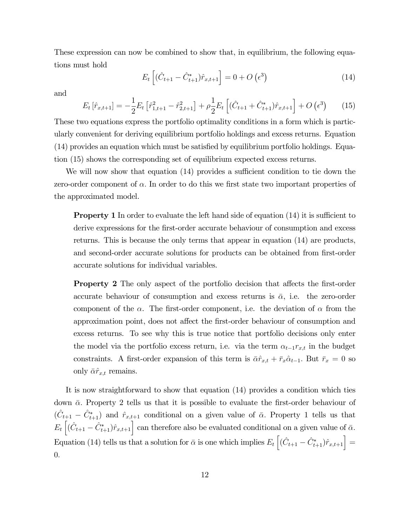These expression can now be combined to show that, in equilibrium, the following equations must hold

$$
E_t \left[ (\hat{C}_{t+1} - \hat{C}_{t+1}^*) \hat{r}_{x,t+1} \right] = 0 + O\left(\epsilon^3\right)
$$
 (14)

and

$$
E_t\left[\hat{r}_{x,t+1}\right] = -\frac{1}{2}E_t\left[\hat{r}_{1,t+1}^2 - \hat{r}_{2,t+1}^2\right] + \rho\frac{1}{2}E_t\left[\left(\hat{C}_{t+1} + \hat{C}_{t+1}^*\right)\hat{r}_{x,t+1}\right] + O\left(\epsilon^3\right) \tag{15}
$$

These two equations express the portfolio optimality conditions in a form which is particularly convenient for deriving equilibrium portfolio holdings and excess returns. Equation (14) provides an equation which must be satisfied by equilibrium portfolio holdings. Equation (15) shows the corresponding set of equilibrium expected excess returns.

We will now show that equation (14) provides a sufficient condition to tie down the zero-order component of  $\alpha$ . In order to do this we first state two important properties of the approximated model.

**Property 1** In order to evaluate the left hand side of equation (14) it is sufficient to derive expressions for the first-order accurate behaviour of consumption and excess returns. This is because the only terms that appear in equation (14) are products, and second-order accurate solutions for products can be obtained from first-order accurate solutions for individual variables.

Property 2 The only aspect of the portfolio decision that affects the first-order accurate behaviour of consumption and excess returns is  $\bar{\alpha}$ , i.e. the zero-order component of the  $\alpha$ . The first-order component, i.e. the deviation of  $\alpha$  from the approximation point, does not affect the first-order behaviour of consumption and excess returns. To see why this is true notice that portfolio decisions only enter the model via the portfolio excess return, i.e. via the term  $\alpha_{t-1}r_{x,t}$  in the budget constraints. A first-order expansion of this term is  $\bar{\alpha}\hat{r}_{x,t} + \bar{r}_x\hat{\alpha}_{t-1}$ . But  $\bar{r}_x = 0$  so only  $\bar{\alpha}\hat{r}_{x,t}$  remains.

It is now straightforward to show that equation (14) provides a condition which ties down  $\bar{\alpha}$ . Property 2 tells us that it is possible to evaluate the first-order behaviour of  $(\hat{C}_{t+1} - \hat{C}_{t+1}^*)$  and  $\hat{r}_{x,t+1}$  conditional on a given value of  $\bar{\alpha}$ . Property 1 tells us that  $E_t\left[(\hat{C}_{t+1} - \hat{C}_{t+1}^*)\hat{r}_{x,t+1}\right]$  can therefore also be evaluated conditional on a given value of  $\bar{\alpha}$ . Equation (14) tells us that a solution for  $\bar{\alpha}$  is one which implies  $E_t \left[ (\hat{C}_{t+1} - \hat{C}_{t+1}^*) \hat{r}_{x,t+1} \right] =$ 0.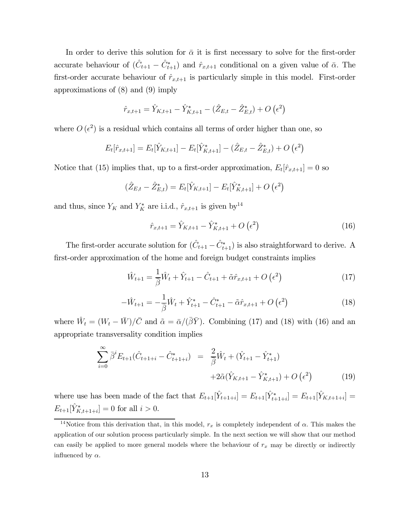In order to derive this solution for  $\bar{\alpha}$  it is first necessary to solve for the first-order accurate behaviour of  $(\hat{C}_{t+1} - \hat{C}_{t+1}^*)$  and  $\hat{r}_{x,t+1}$  conditional on a given value of  $\bar{\alpha}$ . The first-order accurate behaviour of  $\hat{r}_{x,t+1}$  is particularly simple in this model. First-order approximations of (8) and (9) imply

$$
\hat{r}_{x,t+1} = \hat{Y}_{K,t+1} - \hat{Y}_{K,t+1}^* - (\hat{Z}_{E,t} - \hat{Z}_{E,t}^*) + O\left(\epsilon^2\right)
$$

where  $O(\epsilon^2)$  is a residual which contains all terms of order higher than one, so

$$
E_t[\hat{r}_{x,t+1}] = E_t[\hat{Y}_{K,t+1}] - E_t[\hat{Y}_{K,t+1}^*] - (\hat{Z}_{E,t} - \hat{Z}_{E,t}^*) + O(\epsilon^2)
$$

Notice that (15) implies that, up to a first-order approximation,  $E_t[\hat{r}_{x,t+1}]=0$  so

$$
(\hat{Z}_{E,t} - \hat{Z}_{E,t}^*) = E_t[\hat{Y}_{K,t+1}] - E_t[\hat{Y}_{K,t+1}^*] + O\left(\epsilon^2\right)
$$

and thus, since  $Y_K$  and  $Y_K^*$  are i.i.d.,  $\hat{r}_{x,t+1}$  is given by <sup>14</sup>

$$
\hat{r}_{x,t+1} = \hat{Y}_{K,t+1} - \hat{Y}_{K,t+1}^* + O\left(\epsilon^2\right)
$$
\n(16)

The first-order accurate solution for  $(\hat{C}_{t+1} - \hat{C}_{t+1}^*)$  is also straightforward to derive. A first-order approximation of the home and foreign budget constraints implies

$$
\hat{W}_{t+1} = \frac{1}{\beta} \hat{W}_t + \hat{Y}_{t+1} - \hat{C}_{t+1} + \tilde{\alpha}\hat{r}_{x,t+1} + O\left(\epsilon^2\right)
$$
\n(17)

$$
-\hat{W}_{t+1} = -\frac{1}{\beta}\hat{W}_t + \hat{Y}_{t+1}^* - \hat{C}_{t+1}^* - \tilde{\alpha}\hat{r}_{x,t+1} + O\left(\epsilon^2\right)
$$
\n(18)

where  $\hat{W}_t = (W_t - \bar{W})/\bar{C}$  and  $\tilde{\alpha} = \bar{\alpha}/(\bar{\beta}\bar{Y})$ . Combining (17) and (18) with (16) and an appropriate transversality condition implies

$$
\sum_{i=0}^{\infty} \bar{\beta}^{i} E_{t+1} (\hat{C}_{t+1+i} - \hat{C}_{t+1+i}^{*}) = \frac{2}{\bar{\beta}} \hat{W}_{t} + (\hat{Y}_{t+1} - \hat{Y}_{t+1}^{*}) + 2\tilde{\alpha} (\hat{Y}_{K,t+1} - \hat{Y}_{K,t+1}^{*}) + O\left(\epsilon^{2}\right)
$$
(19)

where use has been made of the fact that  $E_{t+1}[\hat{Y}_{t+1+i}] = E_{t+1}[\hat{Y}_{t+1+i}] = E_{t+1}[\hat{Y}_{K,t+1+i}] =$  $E_{t+1}[\hat{Y}_{K,t+1+i}^*]=0$  for all  $i > 0$ .

<sup>&</sup>lt;sup>14</sup>Notice from this derivation that, in this model,  $r_x$  is completely independent of  $\alpha$ . This makes the application of our solution process particularly simple. In the next section we will show that our method can easily be applied to more general models where the behaviour of  $r_x$  may be directly or indirectly influenced by  $\alpha$ .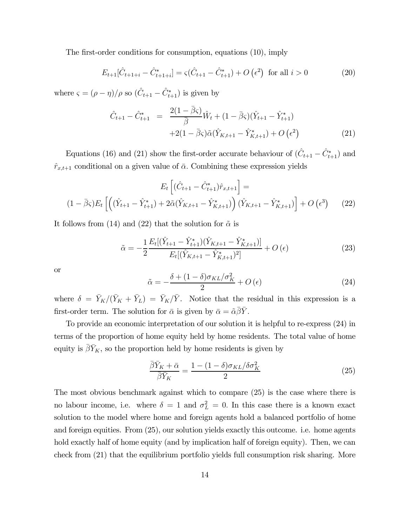The first-order conditions for consumption, equations (10), imply

$$
E_{t+1}[\hat{C}_{t+1+i} - \hat{C}_{t+1+i}^*] = \varsigma(\hat{C}_{t+1} - \hat{C}_{t+1}^*) + O\left(\epsilon^2\right) \text{ for all } i > 0 \tag{20}
$$

where  $\varsigma = (\rho - \eta)/\rho$  so  $(\hat{C}_{t+1} - \hat{C}_{t+1}^*)$  is given by

$$
\hat{C}_{t+1} - \hat{C}_{t+1}^* = \frac{2(1 - \bar{\beta}\varsigma)}{\bar{\beta}} \hat{W}_t + (1 - \bar{\beta}\varsigma)(\hat{Y}_{t+1} - \hat{Y}_{t+1}^*) \n+2(1 - \bar{\beta}\varsigma)\tilde{\alpha}(\hat{Y}_{K,t+1} - \hat{Y}_{K,t+1}^*) + O(\epsilon^2)
$$
\n(21)

Equations (16) and (21) show the first-order accurate behaviour of  $(\hat{C}_{t+1} - \hat{C}_{t+1}^*)$  and  $\hat{r}_{x,t+1}$  conditional on a given value of  $\bar{\alpha}$ . Combining these expression yields

$$
E_t \left[ (\hat{C}_{t+1} - \hat{C}_{t+1}^*) \hat{r}_{x,t+1} \right] =
$$
  

$$
(1 - \bar{\beta}\varsigma) E_t \left[ \left( (\hat{Y}_{t+1} - \hat{Y}_{t+1}^*) + 2\tilde{\alpha}(\hat{Y}_{K,t+1} - \hat{Y}_{K,t+1}^*) \right) (\hat{Y}_{K,t+1} - \hat{Y}_{K,t+1}^*) \right] + O\left(\epsilon^3\right) \tag{22}
$$

It follows from (14) and (22) that the solution for  $\tilde{\alpha}$  is

$$
\tilde{\alpha} = -\frac{1}{2} \frac{E_t[(\hat{Y}_{t+1} - \hat{Y}_{t+1}^*)(\hat{Y}_{K,t+1} - \hat{Y}_{K,t+1}^*)]}{E_t[(\hat{Y}_{K,t+1} - \hat{Y}_{K,t+1}^*)^2]} + O(\epsilon)
$$
\n(23)

or

$$
\tilde{\alpha} = -\frac{\delta + (1 - \delta)\sigma_{KL}/\sigma_K^2}{2} + O\left(\epsilon\right) \tag{24}
$$

where  $\delta = \bar{Y}_{K}/(\bar{Y}_{K} + \bar{Y}_{L}) = \bar{Y}_{K}/\bar{Y}$ . Notice that the residual in this expression is a first-order term. The solution for  $\bar{\alpha}$  is given by  $\bar{\alpha} = \tilde{\alpha}\bar{\beta}\bar{Y}$ .

To provide an economic interpretation of our solution it is helpful to re-express (24) in terms of the proportion of home equity held by home residents. The total value of home equity is  $\overline{\beta} \overline{Y}_K$ , so the proportion held by home residents is given by

$$
\frac{\bar{\beta}\bar{Y}_K + \bar{\alpha}}{\bar{\beta}\bar{Y}_K} = \frac{1 - (1 - \delta)\sigma_{KL}/\delta\sigma_K^2}{2} \tag{25}
$$

The most obvious benchmark against which to compare (25) is the case where there is no labour income, i.e. where  $\delta = 1$  and  $\sigma_L^2 = 0$ . In this case there is a known exact solution to the model where home and foreign agents hold a balanced portfolio of home and foreign equities. From (25), our solution yields exactly this outcome. i.e. home agents hold exactly half of home equity (and by implication half of foreign equity). Then, we can check from (21) that the equilibrium portfolio yields full consumption risk sharing. More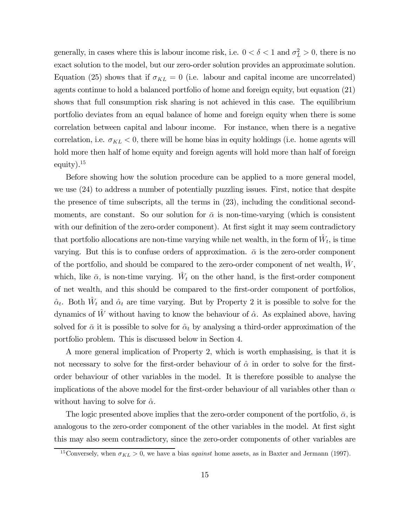generally, in cases where this is labour income risk, i.e.  $0 < \delta < 1$  and  $\sigma_L^2 > 0$ , there is no exact solution to the model, but our zero-order solution provides an approximate solution. Equation (25) shows that if  $\sigma_{KL} = 0$  (i.e. labour and capital income are uncorrelated) agents continue to hold a balanced portfolio of home and foreign equity, but equation (21) shows that full consumption risk sharing is not achieved in this case. The equilibrium portfolio deviates from an equal balance of home and foreign equity when there is some correlation between capital and labour income. For instance, when there is a negative correlation, i.e.  $\sigma_{KL} < 0$ , there will be home bias in equity holdings (i.e. home agents will hold more then half of home equity and foreign agents will hold more than half of foreign equity).15

Before showing how the solution procedure can be applied to a more general model, we use (24) to address a number of potentially puzzling issues. First, notice that despite the presence of time subscripts, all the terms in (23), including the conditional secondmoments, are constant. So our solution for  $\bar{\alpha}$  is non-time-varying (which is consistent with our definition of the zero-order component). At first sight it may seem contradictory that portfolio allocations are non-time varying while net wealth, in the form of  $\hat{W}_t$ , is time varying. But this is to confuse orders of approximation.  $\bar{\alpha}$  is the zero-order component of the portfolio, and should be compared to the zero-order component of net wealth,  $W$ , which, like  $\bar{\alpha}$ , is non-time varying.  $W_t$  on the other hand, is the first-order component of net wealth, and this should be compared to the first-order component of portfolios,  $\hat{\alpha}_t$ . Both  $\hat{W}_t$  and  $\hat{\alpha}_t$  are time varying. But by Property 2 it is possible to solve for the dynamics of  $\hat{W}$  without having to know the behaviour of  $\hat{\alpha}$ . As explained above, having solved for  $\bar{\alpha}$  it is possible to solve for  $\hat{\alpha}_t$  by analysing a third-order approximation of the portfolio problem. This is discussed below in Section 4.

A more general implication of Property 2, which is worth emphasising, is that it is not necessary to solve for the first-order behaviour of  $\hat{\alpha}$  in order to solve for the firstorder behaviour of other variables in the model. It is therefore possible to analyse the implications of the above model for the first-order behaviour of all variables other than  $\alpha$ without having to solve for  $\hat{\alpha}$ .

The logic presented above implies that the zero-order component of the portfolio,  $\bar{\alpha}$ , is analogous to the zero-order component of the other variables in the model. At first sight this may also seem contradictory, since the zero-order components of other variables are

<sup>&</sup>lt;sup>15</sup>Conversely, when  $\sigma_{KL} > 0$ , we have a bias *against* home assets, as in Baxter and Jermann (1997).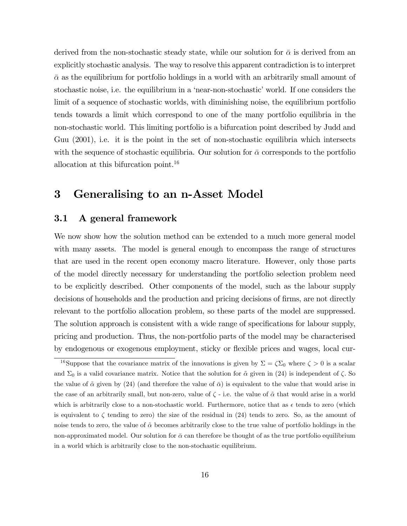derived from the non-stochastic steady state, while our solution for  $\bar{\alpha}$  is derived from an explicitly stochastic analysis. The way to resolve this apparent contradiction is to interpret  $\bar{\alpha}$  as the equilibrium for portfolio holdings in a world with an arbitrarily small amount of stochastic noise, i.e. the equilibrium in a 'near-non-stochastic' world. If one considers the limit of a sequence of stochastic worlds, with diminishing noise, the equilibrium portfolio tends towards a limit which correspond to one of the many portfolio equilibria in the non-stochastic world. This limiting portfolio is a bifurcation point described by Judd and Guu (2001), i.e. it is the point in the set of non-stochastic equilibria which intersects with the sequence of stochastic equilibria. Our solution for  $\bar{\alpha}$  corresponds to the portfolio allocation at this bifurcation point.<sup>16</sup>

## 3 Generalising to an n-Asset Model

### 3.1 A general framework

We now show how the solution method can be extended to a much more general model with many assets. The model is general enough to encompass the range of structures that are used in the recent open economy macro literature. However, only those parts of the model directly necessary for understanding the portfolio selection problem need to be explicitly described. Other components of the model, such as the labour supply decisions of households and the production and pricing decisions of firms, are not directly relevant to the portfolio allocation problem, so these parts of the model are suppressed. The solution approach is consistent with a wide range of specifications for labour supply, pricing and production. Thus, the non-portfolio parts of the model may be characterised by endogenous or exogenous employment, sticky or flexible prices and wages, local cur-

<sup>&</sup>lt;sup>16</sup>Suppose that the covariance matrix of the innovations is given by  $\Sigma = \zeta \Sigma_0$  where  $\zeta > 0$  is a scalar and  $\Sigma_0$  is a valid covariance matrix. Notice that the solution for  $\tilde{\alpha}$  given in (24) is independent of  $\zeta$ . So the value of  $\tilde{\alpha}$  given by (24) (and therefore the value of  $\bar{\alpha}$ ) is equivalent to the value that would arise in the case of an arbitrarily small, but non-zero, value of  $\zeta$  - i.e. the value of  $\tilde{\alpha}$  that would arise in a world which is arbitrarily close to a non-stochastic world. Furthermore, notice that as  $\epsilon$  tends to zero (which is equivalent to  $\zeta$  tending to zero) the size of the residual in (24) tends to zero. So, as the amount of noise tends to zero, the value of  $\tilde{\alpha}$  becomes arbitrarily close to the true value of portfolio holdings in the non-approximated model. Our solution for  $\bar{\alpha}$  can therefore be thought of as the true portfolio equilibrium in a world which is arbitrarily close to the non-stochastic equilibrium.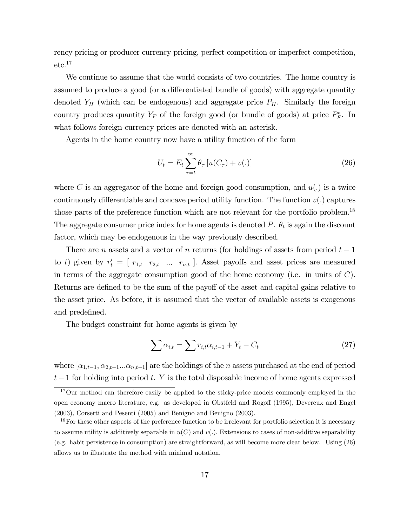rency pricing or producer currency pricing, perfect competition or imperfect competition,  $etc.<sup>17</sup>$ 

We continue to assume that the world consists of two countries. The home country is assumed to produce a good (or a differentiated bundle of goods) with aggregate quantity denoted  $Y_H$  (which can be endogenous) and aggregate price  $P_H$ . Similarly the foreign country produces quantity  $Y_F$  of the foreign good (or bundle of goods) at price  $P_F^*$ . In what follows foreign currency prices are denoted with an asterisk.

Agents in the home country now have a utility function of the form

$$
U_t = E_t \sum_{\tau=t}^{\infty} \theta_{\tau} \left[ u(C_{\tau}) + v(.) \right]
$$
 (26)

where C is an aggregator of the home and foreign good consumption, and  $u(.)$  is a twice continuously differentiable and concave period utility function. The function  $v(.)$  captures those parts of the preference function which are not relevant for the portfolio problem.<sup>18</sup> The aggregate consumer price index for home agents is denoted  $P$ .  $\theta_t$  is again the discount factor, which may be endogenous in the way previously described.

There are n assets and a vector of n returns (for holdings of assets from period  $t-1$ to t) given by  $r_t' = [r_{1,t} \ r_{2,t} \ ... \ r_{n,t}]$ . Asset payoffs and asset prices are measured in terms of the aggregate consumption good of the home economy (i.e. in units of  $C$ ). Returns are defined to be the sum of the payoff of the asset and capital gains relative to the asset price. As before, it is assumed that the vector of available assets is exogenous and predefined.

The budget constraint for home agents is given by

$$
\sum \alpha_{i,t} = \sum r_{i,t} \alpha_{i,t-1} + Y_t - C_t \tag{27}
$$

where  $[\alpha_{1,t-1}, \alpha_{2,t-1} \dots \alpha_{n,t-1}]$  are the holdings of the n assets purchased at the end of period  $t-1$  for holding into period t. Y is the total disposable income of home agents expressed

<sup>&</sup>lt;sup>17</sup>Our method can therefore easily be applied to the sticky-price models commonly employed in the open economy macro literature, e.g. as developed in Obstfeld and Rogoff (1995), Devereux and Engel (2003), Corsetti and Pesenti (2005) and Benigno and Benigno (2003).

<sup>&</sup>lt;sup>18</sup>For these other aspects of the preference function to be irrelevant for portfolio selection it is necessary to assume utility is additively separable in  $u(C)$  and  $v(.)$ . Extensions to cases of non-additive separability (e.g. habit persistence in consumption) are straightforward, as will become more clear below. Using (26) allows us to illustrate the method with minimal notation.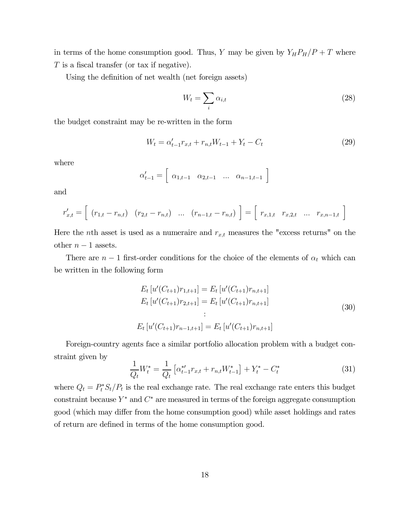in terms of the home consumption good. Thus, Y may be given by  $Y_H P_H/P + T$  where T is a fiscal transfer (or tax if negative).

Using the definition of net wealth (net foreign assets)

$$
W_t = \sum_i \alpha_{i,t} \tag{28}
$$

the budget constraint may be re-written in the form

$$
W_t = \alpha'_{t-1} r_{x,t} + r_{n,t} W_{t-1} + Y_t - C_t \tag{29}
$$

where

$$
\alpha'_{t-1} = \left[ \begin{array}{cccc} \alpha_{1,t-1} & \alpha_{2,t-1} & \dots & \alpha_{n-1,t-1} \end{array} \right]
$$

and

$$
r'_{x,t} = \left[ (r_{1,t} - r_{n,t}) (r_{2,t} - r_{n,t}) \dots (r_{n-1,t} - r_{n,t}) \right] = \left[ r_{x,1,t} r_{x,2,t} \dots r_{x,n-1,t} \right]
$$

Here the *n*th asset is used as a numeraire and  $r_{x,t}$  measures the "excess returns" on the other  $n-1$  assets.

There are  $n-1$  first-order conditions for the choice of the elements of  $\alpha_t$  which can be written in the following form

$$
E_t [u'(C_{t+1})r_{1,t+1}] = E_t [u'(C_{t+1})r_{n,t+1}]
$$
  
\n
$$
E_t [u'(C_{t+1})r_{2,t+1}] = E_t [u'(C_{t+1})r_{n,t+1}]
$$
  
\n
$$
\vdots
$$
  
\n
$$
E_t [u'(C_{t+1})r_{n-1,t+1}] = E_t [u'(C_{t+1})r_{n,t+1}]
$$
\n(30)

Foreign-country agents face a similar portfolio allocation problem with a budget constraint given by

$$
\frac{1}{Q_t}W_t^* = \frac{1}{Q_t} \left[ \alpha_{t-1}^{*\prime} r_{x,t} + r_{n,t} W_{t-1}^* \right] + Y_t^* - C_t^* \tag{31}
$$

where  $Q_t = P_t^* S_t / P_t$  is the real exchange rate. The real exchange rate enters this budget constraint because  $Y^*$  and  $C^*$  are measured in terms of the foreign aggregate consumption good (which may differ from the home consumption good) while asset holdings and rates of return are defined in terms of the home consumption good.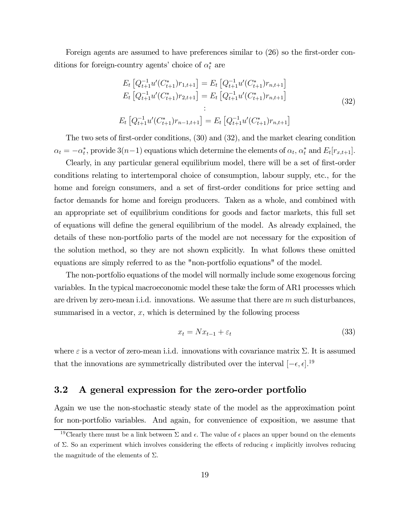Foreign agents are assumed to have preferences similar to (26) so the first-order conditions for foreign-country agents' choice of  $\alpha_t^*$  are

$$
E_t \left[ Q_{t+1}^{-1} u'(C_{t+1}^*) r_{1,t+1} \right] = E_t \left[ Q_{t+1}^{-1} u'(C_{t+1}^*) r_{n,t+1} \right]
$$
  
\n
$$
E_t \left[ Q_{t+1}^{-1} u'(C_{t+1}^*) r_{2,t+1} \right] = E_t \left[ Q_{t+1}^{-1} u'(C_{t+1}^*) r_{n,t+1} \right]
$$
  
\n
$$
\vdots
$$
  
\n
$$
E_t \left[ Q_{t+1}^{-1} u'(C_{t+1}^*) r_{n-1,t+1} \right] = E_t \left[ Q_{t+1}^{-1} u'(C_{t+1}^*) r_{n,t+1} \right]
$$
  
\n(32)

The two sets of first-order conditions, (30) and (32), and the market clearing condition  $\alpha_t = -\alpha_t^*$ , provide  $3(n-1)$  equations which determine the elements of  $\alpha_t$ ,  $\alpha_t^*$  and  $E_t[r_{x,t+1}]$ .

Clearly, in any particular general equilibrium model, there will be a set of first-order conditions relating to intertemporal choice of consumption, labour supply, etc., for the home and foreign consumers, and a set of first-order conditions for price setting and factor demands for home and foreign producers. Taken as a whole, and combined with an appropriate set of equilibrium conditions for goods and factor markets, this full set of equations will define the general equilibrium of the model. As already explained, the details of these non-portfolio parts of the model are not necessary for the exposition of the solution method, so they are not shown explicitly. In what follows these omitted equations are simply referred to as the "non-portfolio equations" of the model.

The non-portfolio equations of the model will normally include some exogenous forcing variables. In the typical macroeconomic model these take the form of AR1 processes which are driven by zero-mean i.i.d. innovations. We assume that there are  $m$  such disturbances, summarised in a vector,  $x$ , which is determined by the following process

$$
x_t = Nx_{t-1} + \varepsilon_t \tag{33}
$$

where  $\varepsilon$  is a vector of zero-mean i.i.d. innovations with covariance matrix  $\Sigma$ . It is assumed that the innovations are symmetrically distributed over the interval  $[-\epsilon, \epsilon]$ <sup>19</sup>

#### 3.2 A general expression for the zero-order portfolio

Again we use the non-stochastic steady state of the model as the approximation point for non-portfolio variables. And again, for convenience of exposition, we assume that

<sup>&</sup>lt;sup>19</sup>Clearly there must be a link between  $\Sigma$  and  $\epsilon$ . The value of  $\epsilon$  places an upper bound on the elements of  $\Sigma$ . So an experiment which involves considering the effects of reducing  $\epsilon$  implicitly involves reducing the magnitude of the elements of  $\Sigma$ .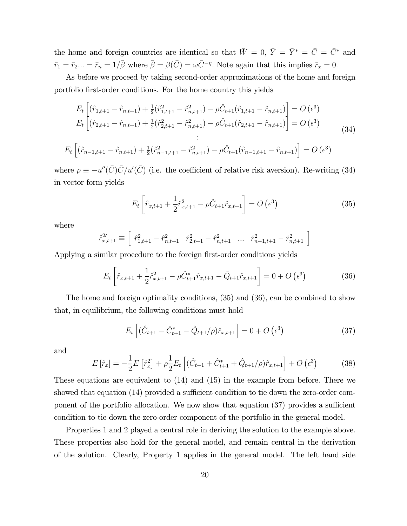the home and foreign countries are identical so that  $\bar{W} = 0$ ,  $\bar{Y} = \bar{Y}^* = \bar{C} = \bar{C}^*$  and  $\bar{r}_1 = \bar{r}_2... = \bar{r}_n = 1/\bar{\beta}$  where  $\bar{\beta} = \beta(\bar{C}) = \omega \bar{C}^{-\eta}$ . Note again that this implies  $\bar{r}_x = 0$ .

As before we proceed by taking second-order approximations of the home and foreign portfolio first-order conditions. For the home country this yields

$$
E_t \left[ (\hat{r}_{1,t+1} - \hat{r}_{n,t+1}) + \frac{1}{2} (\hat{r}_{1,t+1}^2 - \hat{r}_{n,t+1}^2) - \rho \hat{C}_{t+1} (\hat{r}_{1,t+1} - \hat{r}_{n,t+1}) \right] = O(\epsilon^3)
$$
  
\n
$$
E_t \left[ (\hat{r}_{2,t+1} - \hat{r}_{n,t+1}) + \frac{1}{2} (\hat{r}_{2,t+1}^2 - \hat{r}_{n,t+1}^2) - \rho \hat{C}_{t+1} (\hat{r}_{2,t+1} - \hat{r}_{n,t+1}) \right] = O(\epsilon^3)
$$
  
\n
$$
\vdots
$$
  
\n
$$
[(\hat{c}_{1,t+1} - \hat{c}_{1,t+1}) + \frac{1}{2} (\hat{c}_{2,t+1}^2 - \hat{c}_{2,t+1}^2) - \rho \hat{C}_{t+1} (\hat{r}_{2,t+1} - \hat{r}_{n,t+1}) \right] = O(\epsilon^3)
$$
  
\n(34)

 $E_t\left[(\hat{r}_{n-1,t+1} - \hat{r}_{n,t+1}) + \frac{1}{2}(\hat{r}_{n-1,t+1}^2 - \hat{r}_{n,t+1}^2) - \rho \hat{C}_{t+1}(\hat{r}_{n-1,t+1} - \hat{r}_{n,t+1})\right] = O\left(\epsilon^3\right)$ 

where  $\rho \equiv -u''(\bar{C})\bar{C}/u'(\bar{C})$  (i.e. the coefficient of relative risk aversion). Re-writing (34) in vector form yields

$$
E_t \left[ \hat{r}_{x,t+1} + \frac{1}{2} \hat{r}_{x,t+1}^2 - \rho \hat{C}_{t+1} \hat{r}_{x,t+1} \right] = O\left(\epsilon^3\right)
$$
 (35)

where

$$
\hat{r}_{x,t+1}^{2\prime}\equiv\left[\begin{array}{cccc} \hat{r}_{1,t+1}^{2}-\hat{r}_{n,t+1}^{2} & \hat{r}_{2,t+1}^{2}-\hat{r}_{n,t+1}^{2} & \ldots & \hat{r}_{n-1,t+1}^{2}-\hat{r}_{n,t+1}^{2} \end{array}\right]
$$

Applying a similar procedure to the foreign first-order conditions yields

$$
E_t \left[ \hat{r}_{x,t+1} + \frac{1}{2} \hat{r}_{x,t+1}^2 - \rho \hat{C}_{t+1}^* \hat{r}_{x,t+1} - \hat{Q}_{t+1} \hat{r}_{x,t+1} \right] = 0 + O\left(\epsilon^3\right)
$$
 (36)

The home and foreign optimality conditions, (35) and (36), can be combined to show that, in equilibrium, the following conditions must hold

$$
E_t \left[ (\hat{C}_{t+1} - \hat{C}_{t+1}^* - \hat{Q}_{t+1}/\rho) \hat{r}_{x,t+1} \right] = 0 + O\left(\epsilon^3\right)
$$
 (37)

and

$$
E\left[\hat{r}_x\right] = -\frac{1}{2}E\left[\hat{r}_x^2\right] + \rho \frac{1}{2}E_t\left[\left(\hat{C}_{t+1} + \hat{C}_{t+1}^* + \hat{Q}_{t+1}/\rho\right)\hat{r}_{x,t+1}\right] + O\left(\epsilon^3\right) \tag{38}
$$

These equations are equivalent to (14) and (15) in the example from before. There we showed that equation (14) provided a sufficient condition to tie down the zero-order component of the portfolio allocation. We now show that equation (37) provides a sufficient condition to tie down the zero-order component of the portfolio in the general model.

Properties 1 and 2 played a central role in deriving the solution to the example above. These properties also hold for the general model, and remain central in the derivation of the solution. Clearly, Property 1 applies in the general model. The left hand side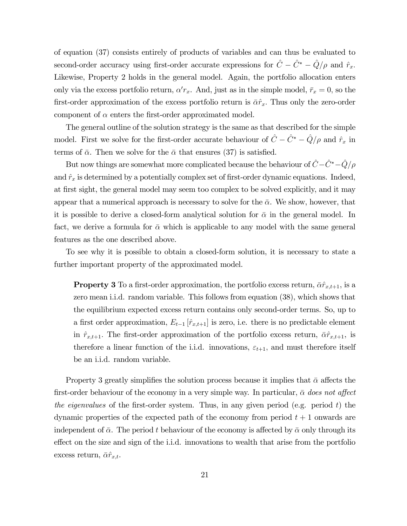of equation (37) consists entirely of products of variables and can thus be evaluated to second-order accuracy using first-order accurate expressions for  $\hat{C} - \hat{C}^* - \hat{Q}/\rho$  and  $\hat{r}_x$ . Likewise, Property 2 holds in the general model. Again, the portfolio allocation enters only via the excess portfolio return,  $\alpha' r_x$ . And, just as in the simple model,  $\bar{r}_x = 0$ , so the first-order approximation of the excess portfolio return is  $\bar{\alpha}\hat{r}_x$ . Thus only the zero-order component of  $\alpha$  enters the first-order approximated model.

The general outline of the solution strategy is the same as that described for the simple model. First we solve for the first-order accurate behaviour of  $\hat{C} - \hat{C}^* - \hat{Q}/\rho$  and  $\hat{r}_x$  in terms of  $\bar{\alpha}$ . Then we solve for the  $\bar{\alpha}$  that ensures (37) is satisfied.

But now things are somewhat more complicated because the behaviour of  $\hat{C}-\hat{C}^*-\hat{Q}/\rho$ and  $\hat{r}_x$  is determined by a potentially complex set of first-order dynamic equations. Indeed, at first sight, the general model may seem too complex to be solved explicitly, and it may appear that a numerical approach is necessary to solve for the  $\bar{\alpha}$ . We show, however, that it is possible to derive a closed-form analytical solution for  $\bar{\alpha}$  in the general model. In fact, we derive a formula for  $\bar{\alpha}$  which is applicable to any model with the same general features as the one described above.

To see why it is possible to obtain a closed-form solution, it is necessary to state a further important property of the approximated model.

**Property 3** To a first-order approximation, the portfolio excess return,  $\bar{\alpha} \hat{r}_{x,t+1}$ , is a zero mean i.i.d. random variable. This follows from equation (38), which shows that the equilibrium expected excess return contains only second-order terms. So, up to a first order approximation,  $E_{t-1}$  [ $\hat{r}_{x,t+1}$ ] is zero, i.e. there is no predictable element in  $\hat{r}_{x,t+1}$ . The first-order approximation of the portfolio excess return,  $\bar{\alpha}\hat{r}_{x,t+1}$ , is therefore a linear function of the i.i.d. innovations,  $\varepsilon_{t+1}$ , and must therefore itself be an i.i.d. random variable.

Property 3 greatly simplifies the solution process because it implies that  $\bar{\alpha}$  affects the first-order behaviour of the economy in a very simple way. In particular,  $\bar{\alpha}$  does not affect the eigenvalues of the first-order system. Thus, in any given period (e.g. period  $t$ ) the dynamic properties of the expected path of the economy from period  $t + 1$  onwards are independent of  $\bar{\alpha}$ . The period t behaviour of the economy is affected by  $\bar{\alpha}$  only through its effect on the size and sign of the i.i.d. innovations to wealth that arise from the portfolio excess return,  $\bar{\alpha}\hat{r}_{x,t}$ .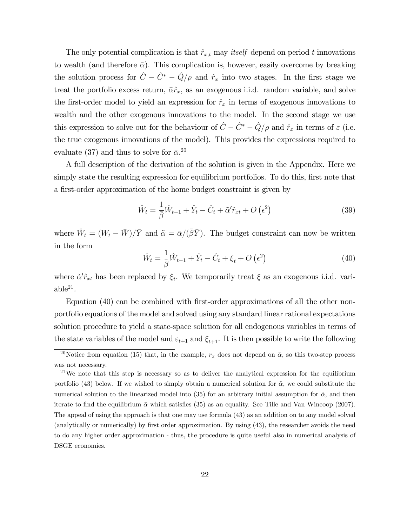The only potential complication is that  $\hat{r}_{x,t}$  may *itself* depend on period t innovations to wealth (and therefore  $\bar{\alpha}$ ). This complication is, however, easily overcome by breaking the solution process for  $\hat{C} - \hat{C}^* - \hat{Q}/\rho$  and  $\hat{r}_x$  into two stages. In the first stage we treat the portfolio excess return,  $\bar{\alpha}\hat{r}_x$ , as an exogenous i.i.d. random variable, and solve the first-order model to yield an expression for  $\hat{r}_x$  in terms of exogenous innovations to wealth and the other exogenous innovations to the model. In the second stage we use this expression to solve out for the behaviour of  $\hat{C} - \hat{C}^* - \hat{Q}/\rho$  and  $\hat{r}_x$  in terms of  $\varepsilon$  (i.e. the true exogenous innovations of the model). This provides the expressions required to evaluate (37) and thus to solve for  $\bar{\alpha}$ <sup>20</sup>

A full description of the derivation of the solution is given in the Appendix. Here we simply state the resulting expression for equilibrium portfolios. To do this, first note that a first-order approximation of the home budget constraint is given by

$$
\hat{W}_t = \frac{1}{\bar{\beta}} \hat{W}_{t-1} + \hat{Y}_t - \hat{C}_t + \tilde{\alpha}' \hat{r}_{xt} + O\left(\epsilon^2\right)
$$
\n(39)

where  $\hat{W}_t = (W_t - \bar{W})/\bar{Y}$  and  $\tilde{\alpha} = \bar{\alpha}/(\bar{\beta}\bar{Y})$ . The budget constraint can now be written in the form

$$
\hat{W}_t = \frac{1}{\beta} \hat{W}_{t-1} + \hat{Y}_t - \hat{C}_t + \xi_t + O\left(\epsilon^2\right)
$$
\n(40)

where  $\tilde{\alpha}'\hat{r}_{xt}$  has been replaced by  $\xi_t$ . We temporarily treat  $\xi$  as an exogenous i.i.d. vari $able^{21}$ .

Equation (40) can be combined with first-order approximations of all the other nonportfolio equations of the model and solved using any standard linear rational expectations solution procedure to yield a state-space solution for all endogenous variables in terms of the state variables of the model and  $\varepsilon_{t+1}$  and  $\xi_{t+1}$ . It is then possible to write the following

<sup>&</sup>lt;sup>20</sup>Notice from equation (15) that, in the example,  $r_x$  does not depend on  $\bar{\alpha}$ , so this two-step process was not necessary.

<sup>&</sup>lt;sup>21</sup>We note that this step is necessary so as to deliver the analytical expression for the equilibrium portfolio (43) below. If we wished to simply obtain a numerical solution for  $\tilde{\alpha}$ , we could substitute the numerical solution to the linearized model into (35) for an arbitrary initial assumption for  $\tilde{\alpha}$ , and then iterate to find the equilibrium  $\tilde{\alpha}$  which satisfies (35) as an equality. See Tille and Van Wincoop (2007). The appeal of using the approach is that one may use formula (43) as an addition on to any model solved (analytically or numerically) by first order approximation. By using (43), the researcher avoids the need to do any higher order approximation - thus, the procedure is quite useful also in numerical analysis of DSGE economies.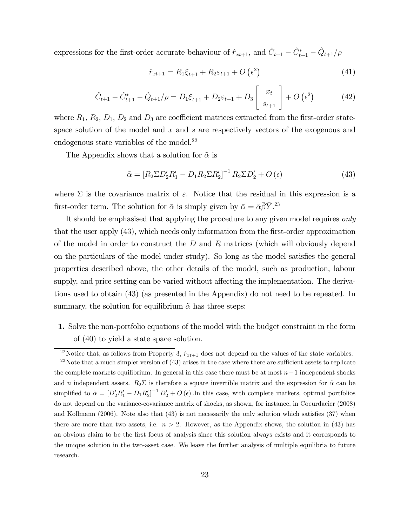expressions for the first-order accurate behaviour of  $\hat{r}_{xt+1}$ , and  $\hat{C}_{t+1} - \hat{C}_{t+1}^* - \hat{Q}_{t+1}/\rho$ 

$$
\hat{r}_{xt+1} = R_1 \xi_{t+1} + R_2 \varepsilon_{t+1} + O\left(\epsilon^2\right) \tag{41}
$$

$$
\hat{C}_{t+1} - \hat{C}_{t+1}^* - \hat{Q}_{t+1}/\rho = D_1 \xi_{t+1} + D_2 \varepsilon_{t+1} + D_3 \begin{bmatrix} x_t \\ s_{t+1} \end{bmatrix} + O\left(\epsilon^2\right) \tag{42}
$$

where  $R_1, R_2, D_1, D_2$  and  $D_3$  are coefficient matrices extracted from the first-order statespace solution of the model and  $x$  and  $s$  are respectively vectors of the exogenous and endogenous state variables of the model. $^{22}$ 

The Appendix shows that a solution for  $\tilde{\alpha}$  is

$$
\tilde{\alpha} = \left[R_2 \Sigma D_2'R_1' - D_1 R_2 \Sigma R_2'\right]^{-1} R_2 \Sigma D_2' + O\left(\epsilon\right) \tag{43}
$$

where  $\Sigma$  is the covariance matrix of  $\varepsilon$ . Notice that the residual in this expression is a first-order term. The solution for  $\bar{\alpha}$  is simply given by  $\bar{\alpha} = \tilde{\alpha}\bar{\beta}\bar{Y}^{23}$ .

It should be emphasised that applying the procedure to any given model requires only that the user apply (43), which needs only information from the first-order approximation of the model in order to construct the  $D$  and  $R$  matrices (which will obviously depend on the particulars of the model under study). So long as the model satisfies the general properties described above, the other details of the model, such as production, labour supply, and price setting can be varied without affecting the implementation. The derivations used to obtain (43) (as presented in the Appendix) do not need to be repeated. In summary, the solution for equilibrium  $\tilde{\alpha}$  has three steps:

1. Solve the non-portfolio equations of the model with the budget constraint in the form of (40) to yield a state space solution.

<sup>&</sup>lt;sup>22</sup>Notice that, as follows from Property 3,  $\hat{r}_{xt+1}$  does not depend on the values of the state variables. <sup>23</sup>Note that a much simpler version of (43) arises in the case where there are sufficient assets to replicate the complete markets equilibrium. In general in this case there must be at most  $n-1$  independent shocks and n independent assets.  $R_2\Sigma$  is therefore a square invertible matrix and the expression for  $\tilde{\alpha}$  can be simplified to  $\tilde{\alpha} = [D_2'R_1' - D_1R_2']^{-1}D_2' + O(\epsilon)$ . In this case, with complete markets, optimal portfolios do not depend on the variance-covariance matrix of shocks, as shown, for instance, in Coeurdacier (2008) and Kollmann (2006). Note also that (43) is not necessarily the only solution which satisfies (37) when there are more than two assets, i.e.  $n > 2$ . However, as the Appendix shows, the solution in (43) has an obvious claim to be the first focus of analysis since this solution always exists and it corresponds to the unique solution in the two-asset case. We leave the further analysis of multiple equilibria to future research.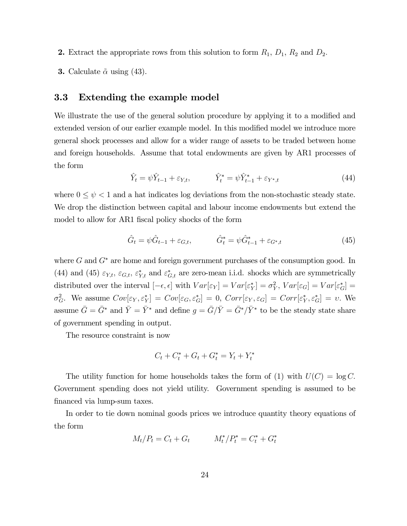- **2.** Extract the appropriate rows from this solution to form  $R_1$ ,  $D_1$ ,  $R_2$  and  $D_2$ .
- **3.** Calculate  $\tilde{\alpha}$  using (43).

### 3.3 Extending the example model

We illustrate the use of the general solution procedure by applying it to a modified and extended version of our earlier example model. In this modified model we introduce more general shock processes and allow for a wider range of assets to be traded between home and foreign households. Assume that total endowments are given by AR1 processes of the form

$$
\hat{Y}_t = \psi \hat{Y}_{t-1} + \varepsilon_{Y,t}, \qquad \hat{Y}_t^* = \psi \hat{Y}_{t-1}^* + \varepsilon_{Y^*,t}
$$
\n(44)

where  $0 \leq \psi < 1$  and a hat indicates log deviations from the non-stochastic steady state. We drop the distinction between capital and labour income endowments but extend the model to allow for AR1 fiscal policy shocks of the form

$$
\hat{G}_t = \psi \hat{G}_{t-1} + \varepsilon_{G,t}, \qquad \hat{G}_t^* = \psi \hat{G}_{t-1}^* + \varepsilon_{G^*,t} \tag{45}
$$

where  $G$  and  $G^*$  are home and foreign government purchases of the consumption good. In (44) and (45)  $\varepsilon_{Y,t}$ ,  $\varepsilon_{G,t}$ ,  $\varepsilon_{Y,t}^*$  and  $\varepsilon_{G,t}^*$  are zero-mean i.i.d. shocks which are symmetrically distributed over the interval  $[-\epsilon, \epsilon]$  with  $Var[\epsilon_Y] = Var[\epsilon_Y^*] = \sigma_Y^2$ ,  $Var[\epsilon_G] = Var[\epsilon_G^*] =$  $\sigma_G^2$ . We assume  $Cov[\varepsilon_Y, \varepsilon_Y^*] = Cov[\varepsilon_G, \varepsilon_G^*] = 0$ ,  $Corr[\varepsilon_Y, \varepsilon_G] = Corr[\varepsilon_Y^*, \varepsilon_G^*] = v$ . We assume  $\bar{G} = \bar{G}^*$  and  $\bar{Y} = \bar{Y}^*$  and define  $g = \bar{G}/\bar{Y} = \bar{G}^*/\bar{Y}^*$  to be the steady state share of government spending in output.

The resource constraint is now

$$
C_t + C_t^* + G_t + G_t^* = Y_t + Y_t^*
$$

The utility function for home households takes the form of (1) with  $U(C) = \log C$ . Government spending does not yield utility. Government spending is assumed to be financed via lump-sum taxes.

In order to tie down nominal goods prices we introduce quantity theory equations of the form

$$
M_t/P_t = C_t + G_t \qquad M_t^*/P_t^* = C_t^* + G_t^*
$$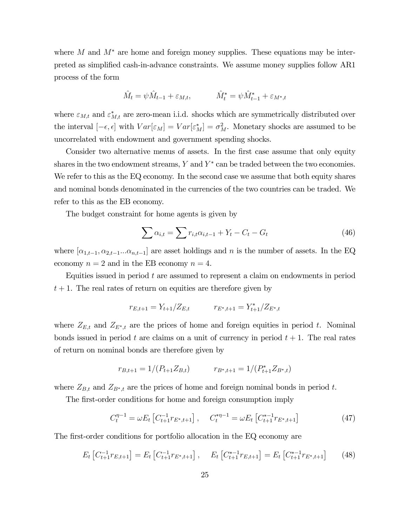where M and  $M^*$  are home and foreign money supplies. These equations may be interpreted as simplified cash-in-advance constraints. We assume money supplies follow AR1 process of the form

$$
\hat{M}_t = \psi \hat{M}_{t-1} + \varepsilon_{M,t}, \qquad \hat{M}_t^* = \psi \hat{M}_{t-1}^* + \varepsilon_{M^*,t}
$$

where  $\varepsilon_{M,t}$  and  $\varepsilon_{M,t}^*$  are zero-mean i.i.d. shocks which are symmetrically distributed over the interval  $[-\epsilon, \epsilon]$  with  $Var[\epsilon_M] = Var[\epsilon_M^*] = \sigma_M^2$ . Monetary shocks are assumed to be uncorrelated with endowment and government spending shocks.

Consider two alternative menus of assets. In the first case assume that only equity shares in the two endowment streams,  $Y$  and  $Y^*$  can be traded between the two economies. We refer to this as the EQ economy. In the second case we assume that both equity shares and nominal bonds denominated in the currencies of the two countries can be traded. We refer to this as the EB economy.

The budget constraint for home agents is given by

$$
\sum \alpha_{i,t} = \sum r_{i,t} \alpha_{i,t-1} + Y_t - C_t - G_t \tag{46}
$$

where  $[\alpha_{1,t-1}, \alpha_{2,t-1} \dots \alpha_{n,t-1}]$  are asset holdings and n is the number of assets. In the EQ economy  $n = 2$  and in the EB economy  $n = 4$ .

Equities issued in period  $t$  are assumed to represent a claim on endowments in period  $t + 1$ . The real rates of return on equities are therefore given by

$$
r_{E,t+1} = Y_{t+1}/Z_{E,t} \qquad \qquad r_{E^*,t+1} = Y_{t+1}^*/Z_{E^*,t}
$$

where  $Z_{E,t}$  and  $Z_{E^*,t}$  are the prices of home and foreign equities in period t. Nominal bonds issued in period t are claims on a unit of currency in period  $t + 1$ . The real rates of return on nominal bonds are therefore given by

$$
r_{B,t+1} = 1/(P_{t+1}Z_{B,t}) \qquad r_{B^*,t+1} = 1/(P_{t+1}^*Z_{B^*,t})
$$

where  $Z_{B,t}$  and  $Z_{B*,t}$  are the prices of home and foreign nominal bonds in period t.

The first-order conditions for home and foreign consumption imply

$$
C_t^{\eta-1} = \omega E_t \left[ C_{t+1}^{-1} r_{E^*, t+1} \right], \quad C_t^{*\eta-1} = \omega E_t \left[ C_{t+1}^{*\eta-1} r_{E^*, t+1} \right]
$$
(47)

The first-order conditions for portfolio allocation in the EQ economy are

$$
E_t\left[C_{t+1}^{-1}r_{E,t+1}\right] = E_t\left[C_{t+1}^{-1}r_{E^*,t+1}\right], \quad E_t\left[C_{t+1}^{*-1}r_{E,t+1}\right] = E_t\left[C_{t+1}^{*-1}r_{E^*,t+1}\right] \tag{48}
$$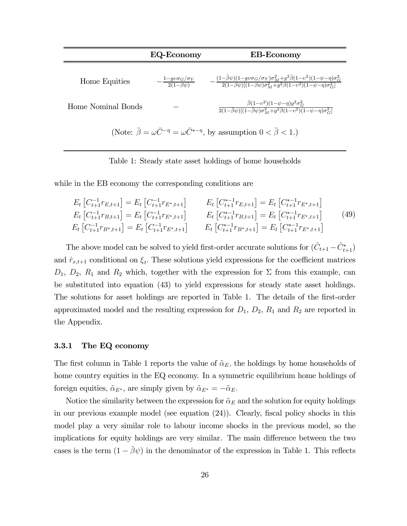|                                                                                                                  | <b>EQ-Economy</b>                                     | <b>EB-Economy</b>                                                                                                                                                                                                                 |  |
|------------------------------------------------------------------------------------------------------------------|-------------------------------------------------------|-----------------------------------------------------------------------------------------------------------------------------------------------------------------------------------------------------------------------------------|--|
| Home Equities                                                                                                    | $-\frac{1-gv\sigma_G/\sigma_Y}{2(1-\bar{\beta}\psi)}$ | $\frac{(1-\bar{\beta}\psi)(1-g\upsilon\sigma_G/\sigma_Y)\sigma_M^2+g^2\bar{\beta}(1-\upsilon^2)(1-\psi-\eta)\sigma_G^2}{2(1-\bar{\beta}\psi)[(1-\bar{\beta}\psi)\sigma_M^2+g^2\bar{\beta}(1-\upsilon^2)(1-\psi-\eta)\sigma_G^2]}$ |  |
| Home Nominal Bonds                                                                                               |                                                       | $\bar{\beta}(1-v^2)(1-\psi-\eta)g^2\sigma_G^2$<br>$\frac{1}{2(1-\beta\psi)[(1-\beta\psi)\sigma_M^2+g^2\overline{\beta(1-v^2)}\overline{(1-\psi-\eta)\sigma_G^2]}}$                                                                |  |
| (Note: $\bar{\beta} = \omega \bar{C}^{-\eta} = \omega \bar{C}^{*-\eta}$ , by assumption $0 < \bar{\beta} < 1$ .) |                                                       |                                                                                                                                                                                                                                   |  |

Table 1: Steady state asset holdings of home households

while in the EB economy the corresponding conditions are

$$
E_t \left[ C_{t+1}^{-1} r_{E,t+1} \right] = E_t \left[ C_{t+1}^{-1} r_{E^*,t+1} \right]
$$
\n
$$
E_t \left[ C_{t+1}^{-1} r_{E,t+1} \right] = E_t \left[ C_{t+1}^{-1} r_{E^*,t+1} \right]
$$
\n
$$
E_t \left[ C_{t+1}^{-1} r_{B,t+1} \right] = E_t \left[ C_{t+1}^{-1} r_{E^*,t+1} \right]
$$
\n
$$
E_t \left[ C_{t+1}^{-1} r_{B,t+1} \right] = E_t \left[ C_{t+1}^{-1} r_{E^*,t+1} \right]
$$
\n
$$
E_t \left[ C_{t+1}^{-1} r_{B,t+1} \right] = E_t \left[ C_{t+1}^{-1} r_{E^*,t+1} \right]
$$
\n
$$
E_t \left[ C_{t+1}^{-1} r_{B^*,t+1} \right] = E_t \left[ C_{t+1}^{-1} r_{E^*,t+1} \right]
$$
\n
$$
E_t \left[ C_{t+1}^{-1} r_{B^*,t+1} \right] = E_t \left[ C_{t+1}^{-1} r_{E^*,t+1} \right]
$$
\n
$$
(49)
$$

The above model can be solved to yield first-order accurate solutions for  $(\hat{C}_{t+1} - \hat{C}_{t+1}^*)$ and  $\hat{r}_{x,t+1}$  conditional on  $\xi_t$ . These solutions yield expressions for the coefficient matrices  $D_1$ ,  $D_2$ ,  $R_1$  and  $R_2$  which, together with the expression for  $\Sigma$  from this example, can be substituted into equation (43) to yield expressions for steady state asset holdings. The solutions for asset holdings are reported in Table 1. The details of the first-order approximated model and the resulting expression for  $D_1$ ,  $D_2$ ,  $R_1$  and  $R_2$  are reported in the Appendix.

#### 3.3.1 The EQ economy

The first column in Table 1 reports the value of  $\tilde{\alpha}_E$ , the holdings by home households of home country equities in the EQ economy. In a symmetric equilibrium home holdings of foreign equities,  $\tilde{\alpha}_{E^*}$ , are simply given by  $\tilde{\alpha}_{E^*} = -\tilde{\alpha}_E$ .

Notice the similarity between the expression for  $\tilde{\alpha}_E$  and the solution for equity holdings in our previous example model (see equation (24)). Clearly, fiscal policy shocks in this model play a very similar role to labour income shocks in the previous model, so the implications for equity holdings are very similar. The main difference between the two cases is the term  $(1 - \bar{\beta}\psi)$  in the denominator of the expression in Table 1. This reflects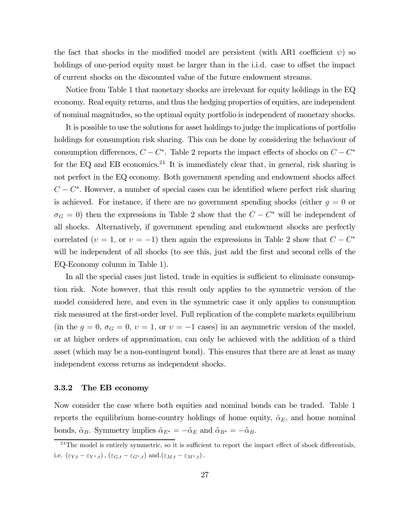the fact that shocks in the modified model are persistent (with AR1 coefficient  $\psi$ ) so holdings of one-period equity must be larger than in the i.i.d. case to offset the impact of current shocks on the discounted value of the future endowment streams.

Notice from Table 1 that monetary shocks are irrelevant for equity holdings in the EQ economy. Real equity returns, and thus the hedging properties of equities, are independent of nominal magnitudes, so the optimal equity portfolio is independent of monetary shocks.

It is possible to use the solutions for asset holdings to judge the implications of portfolio holdings for consumption risk sharing. This can be done by considering the behaviour of consumption differences,  $C - C^*$ . Table 2 reports the impact effects of shocks on  $C - C^*$ for the EQ and EB economics.<sup>24</sup> It is immediately clear that, in general, risk sharing is not perfect in the EQ economy. Both government spending and endowment shocks affect  $C - C^*$ . However, a number of special cases can be identified where perfect risk sharing is achieved. For instance, if there are no government spending shocks (either  $g = 0$  or  $\sigma_G = 0$ ) then the expressions in Table 2 show that the  $C - C^*$  will be independent of all shocks. Alternatively, if government spending and endowment shocks are perfectly correlated ( $v = 1$ , or  $v = -1$ ) then again the expressions in Table 2 show that  $C - C^*$ will be independent of all shocks (to see this, just add the first and second cells of the EQ-Economy column in Table 1).

In all the special cases just listed, trade in equities is sufficient to eliminate consumption risk. Note however, that this result only applies to the symmetric version of the model considered here, and even in the symmetric case it only applies to consumption risk measured at the first-order level. Full replication of the complete markets equilibrium (in the  $g = 0$ ,  $\sigma_G = 0$ ,  $v = 1$ , or  $v = -1$  cases) in an asymmetric version of the model, or at higher orders of approximation, can only be achieved with the addition of a third asset (which may be a non-contingent bond). This ensures that there are at least as many independent excess returns as independent shocks.

#### 3.3.2 The EB economy

Now consider the case where both equities and nominal bonds can be traded. Table 1 reports the equilibrium home-country holdings of home equity,  $\tilde{\alpha}_E$ , and home nominal bonds,  $\tilde{\alpha}_B$ . Symmetry implies  $\tilde{\alpha}_{E^*} = -\tilde{\alpha}_E$  and  $\tilde{\alpha}_{B^*} = -\tilde{\alpha}_B$ .

 $24$ The model is entirely symmetric, so it is sufficient to report the impact effect of shock differentials, i.e.  $(\varepsilon_{Y,t} - \varepsilon_{Y^*,t}), (\varepsilon_{G,t} - \varepsilon_{G^*,t})$  and. $(\varepsilon_{M,t} - \varepsilon_{M^*,t})$ .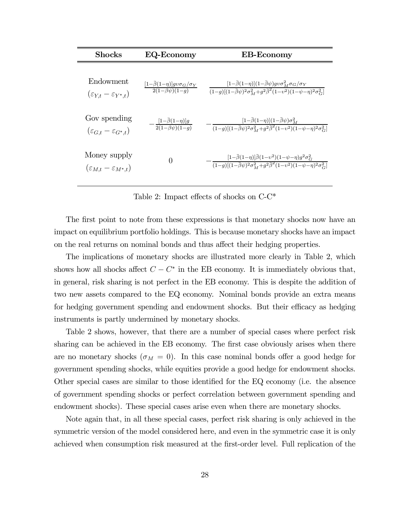| <b>Shocks</b>                                             | <b>EQ-Economy</b>                                                                                                   | <b>EB-Economy</b>                                                                                                                                                                                           |
|-----------------------------------------------------------|---------------------------------------------------------------------------------------------------------------------|-------------------------------------------------------------------------------------------------------------------------------------------------------------------------------------------------------------|
| Endowment<br>$(\varepsilon_{Y,t} - \varepsilon_{Y^*,t})$  | $\frac{[1-\overline{\beta}(1-\eta)]g\nu\sigma_G/\sigma_Y}{2(1-\overline{\beta}\psi)(1-g)}$                          | $[1-\bar{\beta}(1-\eta)](1-\bar{\beta}\psi)gv\sigma_M^2\sigma_G/\sigma_Y$<br>$\sqrt{(1-g)[(1-\bar{\beta}\psi)^2\sigma_M^2+g^2\bar{\beta}^2(1-v^2)(1-\psi-\eta)^2\sigma_G^2]}$                               |
| Gov spending<br>$(\varepsilon_{G,t}-\varepsilon_{G^*,t})$ | $\frac{[1-\overline{\beta}(1-\eta)]g}{[1-\overline{\beta}(1-\eta)]g}$<br>$\frac{1}{2(1-\overline{\beta}\psi)(1-g)}$ | $\left[1-\overline{\beta}(1-\eta)\right](1-\overline{\beta}\psi)\sigma_M^2$<br>$\sqrt{(1-g)[(1-\bar{\beta}\psi)^2\sigma_M^2+g^2\bar{\beta}^2(1-v^2)(1-\psi-\eta)^2\sigma_G^2]}$                             |
| Money supply<br>$(\varepsilon_{M,t}-\varepsilon_{M^*,t})$ | $\Omega$                                                                                                            | $\frac{[1-\bar{\beta}(1-\eta)]\bar{\beta}(1-v^2)(1-\psi-\eta)g^2\sigma_G^2}{[1-\bar{\beta}(1-\psi)]^2}$<br>$\sqrt{(1-q)[(1-\bar{\beta}\psi)^2\sigma_M^2+g^2\bar{\beta}^2(1-v^2)(1-\psi-\eta)^2\sigma_G^2]}$ |

Table 2: Impact effects of shocks on C-C\*

The first point to note from these expressions is that monetary shocks now have an impact on equilibrium portfolio holdings. This is because monetary shocks have an impact on the real returns on nominal bonds and thus affect their hedging properties.

The implications of monetary shocks are illustrated more clearly in Table 2, which shows how all shocks affect  $C - C^*$  in the EB economy. It is immediately obvious that, in general, risk sharing is not perfect in the EB economy. This is despite the addition of two new assets compared to the EQ economy. Nominal bonds provide an extra means for hedging government spending and endowment shocks. But their efficacy as hedging instruments is partly undermined by monetary shocks.

Table 2 shows, however, that there are a number of special cases where perfect risk sharing can be achieved in the EB economy. The first case obviously arises when there are no monetary shocks ( $\sigma_M = 0$ ). In this case nominal bonds offer a good hedge for government spending shocks, while equities provide a good hedge for endowment shocks. Other special cases are similar to those identified for the EQ economy (i.e. the absence of government spending shocks or perfect correlation between government spending and endowment shocks). These special cases arise even when there are monetary shocks.

Note again that, in all these special cases, perfect risk sharing is only achieved in the symmetric version of the model considered here, and even in the symmetric case it is only achieved when consumption risk measured at the first-order level. Full replication of the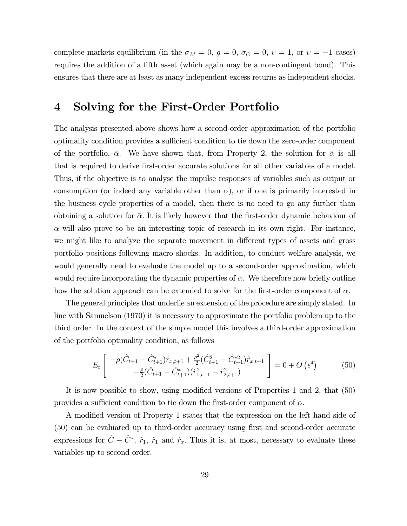complete markets equilibrium (in the  $\sigma_M = 0$ ,  $g = 0$ ,  $\sigma_G = 0$ ,  $v = 1$ , or  $v = -1$  cases) requires the addition of a fifth asset (which again may be a non-contingent bond). This ensures that there are at least as many independent excess returns as independent shocks.

## 4 Solving for the First-Order Portfolio

The analysis presented above shows how a second-order approximation of the portfolio optimality condition provides a sufficient condition to tie down the zero-order component of the portfolio,  $\bar{\alpha}$ . We have shown that, from Property 2, the solution for  $\bar{\alpha}$  is all that is required to derive first-order accurate solutions for all other variables of a model. Thus, if the objective is to analyse the impulse responses of variables such as output or consumption (or indeed any variable other than  $\alpha$ ), or if one is primarily interested in the business cycle properties of a model, then there is no need to go any further than obtaining a solution for  $\bar{\alpha}$ . It is likely however that the first-order dynamic behaviour of  $\alpha$  will also prove to be an interesting topic of research in its own right. For instance, we might like to analyze the separate movement in different types of assets and gross portfolio positions following macro shocks. In addition, to conduct welfare analysis, we would generally need to evaluate the model up to a second-order approximation, which would require incorporating the dynamic properties of  $\alpha$ . We therefore now briefly outline how the solution approach can be extended to solve for the first-order component of  $\alpha$ .

The general principles that underlie an extension of the procedure are simply stated. In line with Samuelson (1970) it is necessary to approximate the portfolio problem up to the third order. In the context of the simple model this involves a third-order approximation of the portfolio optimality condition, as follows

$$
E_t \left[ \begin{array}{c} -\rho(\hat{C}_{t+1} - \hat{C}_{t+1}^*)\hat{r}_{x,t+1} + \frac{\rho^2}{2} (\hat{C}_{t+1}^2 - \hat{C}_{t+1}^*)\hat{r}_{x,t+1} \\ -\frac{\rho}{2} (\hat{C}_{t+1} - \hat{C}_{t+1}^*) (\hat{r}_{1,t+1}^2 - \hat{r}_{2,t+1}^2) \end{array} \right] = 0 + O\left(\epsilon^4\right) \tag{50}
$$

It is now possible to show, using modified versions of Properties 1 and 2, that (50) provides a sufficient condition to tie down the first-order component of  $\alpha$ .

A modified version of Property 1 states that the expression on the left hand side of (50) can be evaluated up to third-order accuracy using first and second-order accurate expressions for  $\hat{C} - \hat{C}^*$ ,  $\hat{r}_1$ ,  $\hat{r}_1$  and  $\hat{r}_x$ . Thus it is, at most, necessary to evaluate these variables up to second order.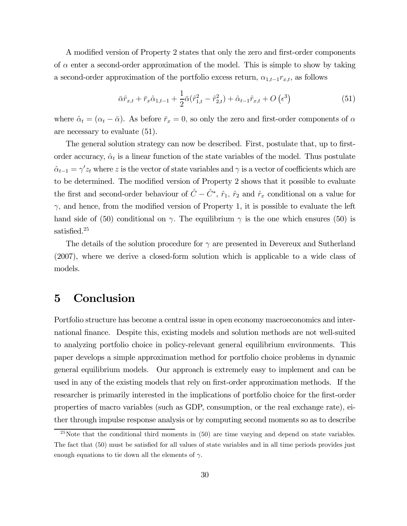A modified version of Property 2 states that only the zero and first-order components of  $\alpha$  enter a second-order approximation of the model. This is simple to show by taking a second-order approximation of the portfolio excess return,  $\alpha_{1,t-1}r_{x,t}$ , as follows

$$
\bar{\alpha}\hat{r}_{x,t} + \bar{r}_x\hat{\alpha}_{1,t-1} + \frac{1}{2}\bar{\alpha}(\hat{r}_{1,t}^2 - \hat{r}_{2,t}^2) + \hat{\alpha}_{t-1}\hat{r}_{x,t} + O\left(\epsilon^3\right)
$$
(51)

where  $\hat{\alpha}_t = (\alpha_t - \bar{\alpha})$ . As before  $\bar{r}_x = 0$ , so only the zero and first-order components of  $\alpha$ are necessary to evaluate (51).

The general solution strategy can now be described. First, postulate that, up to firstorder accuracy,  $\hat{\alpha}_t$  is a linear function of the state variables of the model. Thus postulate  $\hat{\alpha}_{t-1} = \gamma' z_t$  where z is the vector of state variables and  $\gamma$  is a vector of coefficients which are to be determined. The modified version of Property 2 shows that it possible to evaluate the first and second-order behaviour of  $\hat{C} - \hat{C}^*$ ,  $\hat{r}_1$ ,  $\hat{r}_2$  and  $\hat{r}_x$  conditional on a value for  $\gamma$ , and hence, from the modified version of Property 1, it is possible to evaluate the left hand side of (50) conditional on  $\gamma$ . The equilibrium  $\gamma$  is the one which ensures (50) is satisfied.<sup>25</sup>

The details of the solution procedure for  $\gamma$  are presented in Devereux and Sutherland (2007), where we derive a closed-form solution which is applicable to a wide class of models.

## 5 Conclusion

Portfolio structure has become a central issue in open economy macroeconomics and international finance. Despite this, existing models and solution methods are not well-suited to analyzing portfolio choice in policy-relevant general equilibrium environments. This paper develops a simple approximation method for portfolio choice problems in dynamic general equilibrium models. Our approach is extremely easy to implement and can be used in any of the existing models that rely on first-order approximation methods. If the researcher is primarily interested in the implications of portfolio choice for the first-order properties of macro variables (such as GDP, consumption, or the real exchange rate), either through impulse response analysis or by computing second moments so as to describe

<sup>&</sup>lt;sup>25</sup>Note that the conditional third moments in  $(50)$  are time varying and depend on state variables. The fact that (50) must be satisfied for all values of state variables and in all time periods provides just enough equations to tie down all the elements of  $\gamma$ .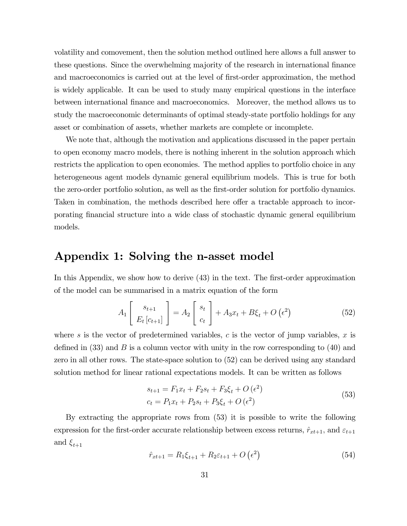volatility and comovement, then the solution method outlined here allows a full answer to these questions. Since the overwhelming majority of the research in international finance and macroeconomics is carried out at the level of first-order approximation, the method is widely applicable. It can be used to study many empirical questions in the interface between international finance and macroeconomics. Moreover, the method allows us to study the macroeconomic determinants of optimal steady-state portfolio holdings for any asset or combination of assets, whether markets are complete or incomplete.

We note that, although the motivation and applications discussed in the paper pertain to open economy macro models, there is nothing inherent in the solution approach which restricts the application to open economies. The method applies to portfolio choice in any heterogeneous agent models dynamic general equilibrium models. This is true for both the zero-order portfolio solution, as well as the first-order solution for portfolio dynamics. Taken in combination, the methods described here offer a tractable approach to incorporating financial structure into a wide class of stochastic dynamic general equilibrium models.

### Appendix 1: Solving the n-asset model

In this Appendix, we show how to derive (43) in the text. The first-order approximation of the model can be summarised in a matrix equation of the form

$$
A_1\left[\begin{array}{c} s_{t+1} \\ E_t\left[c_{t+1}\right] \end{array}\right] = A_2\left[\begin{array}{c} s_t \\ c_t \end{array}\right] + A_3x_t + B\xi_t + O\left(\epsilon^2\right) \tag{52}
$$

where s is the vector of predetermined variables, c is the vector of jump variables,  $x$  is defined in  $(33)$  and B is a column vector with unity in the row corresponding to  $(40)$  and zero in all other rows. The state-space solution to (52) can be derived using any standard solution method for linear rational expectations models. It can be written as follows

$$
s_{t+1} = F_1 x_t + F_2 s_t + F_3 \xi_t + O(\epsilon^2)
$$
  
\n
$$
c_t = P_1 x_t + P_2 s_t + P_3 \xi_t + O(\epsilon^2)
$$
\n(53)

By extracting the appropriate rows from (53) it is possible to write the following expression for the first-order accurate relationship between excess returns,  $\hat{r}_{xt+1}$ , and  $\varepsilon_{t+1}$ and  $\xi_{t+1}$ 

$$
\hat{r}_{xt+1} = R_1 \xi_{t+1} + R_2 \varepsilon_{t+1} + O\left(\epsilon^2\right) \tag{54}
$$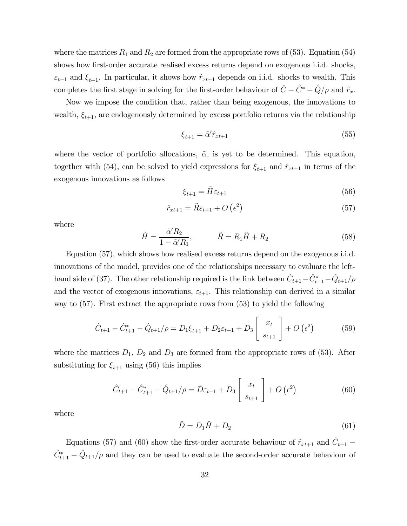where the matrices  $R_1$  and  $R_2$  are formed from the appropriate rows of (53). Equation (54) shows how first-order accurate realised excess returns depend on exogenous i.i.d. shocks,  $\varepsilon_{t+1}$  and  $\xi_{t+1}$ . In particular, it shows how  $\hat{r}_{xt+1}$  depends on i.i.d. shocks to wealth. This completes the first stage in solving for the first-order behaviour of  $\hat{C} - \hat{C}^* - \hat{Q}/\rho$  and  $\hat{r}_x$ .

Now we impose the condition that, rather than being exogenous, the innovations to wealth,  $\xi_{t+1}$ , are endogenously determined by excess portfolio returns via the relationship

$$
\xi_{t+1} = \tilde{\alpha}' \hat{r}_{xt+1} \tag{55}
$$

where the vector of portfolio allocations,  $\tilde{\alpha}$ , is yet to be determined. This equation, together with (54), can be solved to yield expressions for  $\xi_{t+1}$  and  $\hat{r}_{xt+1}$  in terms of the exogenous innovations as follows

$$
\xi_{t+1} = \tilde{H}\varepsilon_{t+1} \tag{56}
$$

$$
\hat{r}_{xt+1} = \tilde{R}\varepsilon_{t+1} + O\left(\epsilon^2\right) \tag{57}
$$

where

$$
\tilde{H} = \frac{\tilde{\alpha}' R_2}{1 - \tilde{\alpha}' R_1}, \qquad \tilde{R} = R_1 \tilde{H} + R_2 \tag{58}
$$

Equation (57), which shows how realised excess returns depend on the exogenous i.i.d. innovations of the model, provides one of the relationships necessary to evaluate the lefthand side of (37). The other relationship required is the link between  $\hat{C}_{t+1} - \hat{C}_{t+1}^* - \hat{Q}_{t+1}/\rho$ and the vector of exogenous innovations,  $\varepsilon_{t+1}$ . This relationship can derived in a similar way to (57). First extract the appropriate rows from (53) to yield the following

$$
\hat{C}_{t+1} - \hat{C}_{t+1}^* - \hat{Q}_{t+1}/\rho = D_1 \xi_{t+1} + D_2 \varepsilon_{t+1} + D_3 \begin{bmatrix} x_t \\ s_{t+1} \end{bmatrix} + O\left(\epsilon^2\right) \tag{59}
$$

where the matrices  $D_1$ ,  $D_2$  and  $D_3$  are formed from the appropriate rows of (53). After substituting for  $\xi_{t+1}$  using (56) this implies

$$
\hat{C}_{t+1} - \hat{C}_{t+1}^* - \hat{Q}_{t+1}/\rho = \tilde{D}\varepsilon_{t+1} + D_3 \begin{bmatrix} x_t \\ s_{t+1} \end{bmatrix} + O\left(\epsilon^2\right) \tag{60}
$$

where

$$
\tilde{D} = D_1 \tilde{H} + D_2 \tag{61}
$$

Equations (57) and (60) show the first-order accurate behaviour of  $\hat{r}_{xt+1}$  and  $\hat{C}_{t+1}$  –  $\hat{C}_{t+1}^* - \hat{Q}_{t+1}/\rho$  and they can be used to evaluate the second-order accurate behaviour of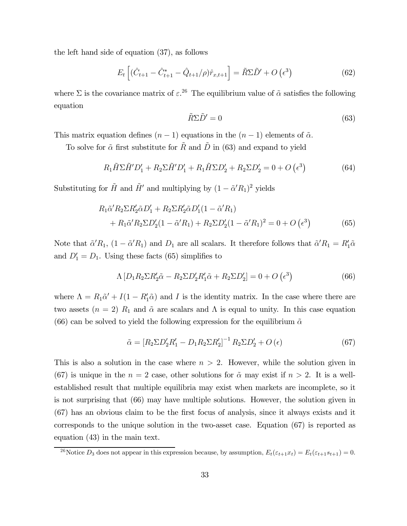the left hand side of equation (37), as follows

$$
E_t \left[ (\hat{C}_{t+1} - \hat{C}_{t+1}^* - \hat{Q}_{t+1}/\rho) \hat{r}_{x,t+1} \right] = \tilde{R} \Sigma \tilde{D}' + O\left(\epsilon^3\right)
$$
 (62)

where  $\Sigma$  is the covariance matrix of  $\varepsilon^{26}$ . The equilibrium value of  $\tilde{\alpha}$  satisfies the following equation

$$
\tilde{R}\Sigma \tilde{D}' = 0\tag{63}
$$

This matrix equation defines  $(n-1)$  equations in the  $(n-1)$  elements of  $\tilde{\alpha}$ .

To solve for  $\tilde{\alpha}$  first substitute for  $\tilde{R}$  and  $\tilde{D}$  in (63) and expand to yield

$$
R_1\widetilde{H}\Sigma\widetilde{H}'D_1' + R_2\Sigma\widetilde{H}'D_1' + R_1\widetilde{H}\Sigma D_2' + R_2\Sigma D_2' = 0 + O\left(\epsilon^3\right)
$$
\n
$$
(64)
$$

Substituting for  $\tilde{H}$  and  $\tilde{H}'$  and multiplying by  $(1 - \tilde{\alpha}' R_1)^2$  yields

$$
R_1 \tilde{\alpha}' R_2 \Sigma R_2' \tilde{\alpha} D_1' + R_2 \Sigma R_2' \tilde{\alpha} D_1' (1 - \tilde{\alpha}' R_1) + R_1 \tilde{\alpha}' R_2 \Sigma D_2' (1 - \tilde{\alpha}' R_1) + R_2 \Sigma D_2' (1 - \tilde{\alpha}' R_1)^2 = 0 + O\left(\epsilon^3\right)
$$
(65)

Note that  $\tilde{\alpha}'R_1$ ,  $(1 - \tilde{\alpha}'R_1)$  and  $D_1$  are all scalars. It therefore follows that  $\tilde{\alpha}'R_1 = R'_1\tilde{\alpha}$ and  $D'_1 = D_1$ . Using these facts (65) simplifies to

$$
\Lambda \left[ D_1 R_2 \Sigma R_2' \tilde{\alpha} - R_2 \Sigma D_2' R_1' \tilde{\alpha} + R_2 \Sigma D_2' \right] = 0 + O\left(\epsilon^3\right) \tag{66}
$$

where  $\Lambda = R_1 \tilde{\alpha}' + I(1 - R_1' \tilde{\alpha})$  and I is the identity matrix. In the case where there are two assets  $(n = 2)$   $R_1$  and  $\tilde{\alpha}$  are scalars and  $\Lambda$  is equal to unity. In this case equation (66) can be solved to yield the following expression for the equilibrium  $\tilde{\alpha}$ 

$$
\tilde{\alpha} = [R_2 \Sigma D_2' R_1' - D_1 R_2 \Sigma R_2']^{-1} R_2 \Sigma D_2' + O(\epsilon)
$$
\n(67)

This is also a solution in the case where  $n > 2$ . However, while the solution given in (67) is unique in the  $n = 2$  case, other solutions for  $\tilde{\alpha}$  may exist if  $n > 2$ . It is a wellestablished result that multiple equilibria may exist when markets are incomplete, so it is not surprising that (66) may have multiple solutions. However, the solution given in (67) has an obvious claim to be the first focus of analysis, since it always exists and it corresponds to the unique solution in the two-asset case. Equation (67) is reported as equation (43) in the main text.

<sup>&</sup>lt;sup>26</sup>Notice  $D_3$  does not appear in this expression because, by assumption,  $E_t(\varepsilon_{t+1}x_t) = E_t(\varepsilon_{t+1}s_{t+1})=0$ .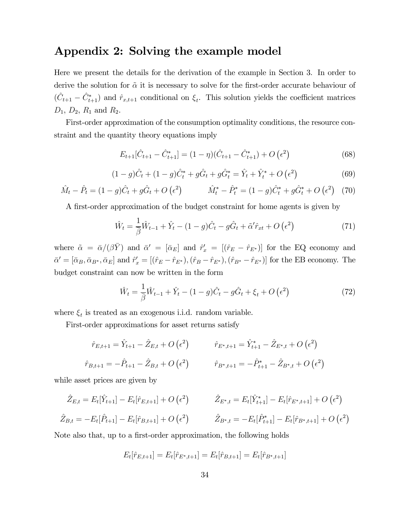### Appendix 2: Solving the example model

Here we present the details for the derivation of the example in Section 3. In order to derive the solution for  $\tilde{\alpha}$  it is necessary to solve for the first-order accurate behaviour of  $(\hat{C}_{t+1} - \hat{C}_{t+1}^*)$  and  $\hat{r}_{x,t+1}$  conditional on  $\xi_t$ . This solution yields the coefficient matrices  $D_1, D_2, R_1$  and  $R_2$ .

First-order approximation of the consumption optimality conditions, the resource constraint and the quantity theory equations imply

$$
E_{t+1}[\hat{C}_{t+1} - \hat{C}_{t+1}^*] = (1 - \eta)(\hat{C}_{t+1} - \hat{C}_{t+1}^*) + O\left(\epsilon^2\right)
$$
\n(68)

$$
(1-g)\hat{C}_t + (1-g)\hat{C}_t^* + g\hat{G}_t + g\hat{G}_t^* = \hat{Y}_t + \hat{Y}_t^* + O\left(\epsilon^2\right)
$$
(69)

$$
\hat{M}_t - \hat{P}_t = (1 - g)\hat{C}_t + g\hat{G}_t + O\left(\epsilon^2\right) \qquad \hat{M}_t^* - \hat{P}_t^* = (1 - g)\hat{C}_t^* + g\hat{G}_t^* + O\left(\epsilon^2\right) \tag{70}
$$

A first-order approximation of the budget constraint for home agents is given by

$$
\hat{W}_t = \frac{1}{\beta} \hat{W}_{t-1} + \hat{Y}_t - (1 - g)\hat{C}_t - g\hat{G}_t + \tilde{\alpha}' \hat{r}_{xt} + O\left(\epsilon^2\right)
$$
\n(71)

where  $\tilde{\alpha} = \bar{\alpha}/(\beta \bar{Y})$  and  $\bar{\alpha}' = [\bar{\alpha}_E]$  and  $\hat{r}'_x = [(\hat{r}_E - \hat{r}_{E^*})]$  for the EQ economy and  $\bar{\alpha}' = [\bar{\alpha}_B, \bar{\alpha}_{B^*}, \bar{\alpha}_E]$  and  $\hat{r}'_x = [(\hat{r}_E - \hat{r}_{E^*}), (\hat{r}_B - \hat{r}_{E^*}), (\hat{r}_{B^*} - \hat{r}_{E^*})]$  for the EB economy. The budget constraint can now be written in the form

$$
\hat{W}_t = \frac{1}{\beta} \hat{W}_{t-1} + \hat{Y}_t - (1 - g)\hat{C}_t - g\hat{G}_t + \xi_t + O\left(\epsilon^2\right)
$$
\n(72)

where  $\xi_t$  is treated as an exogenous i.i.d. random variable.

First-order approximations for asset returns satisfy

$$
\hat{r}_{E,t+1} = \hat{Y}_{t+1} - \hat{Z}_{E,t} + O\left(\epsilon^2\right) \qquad \hat{r}_{E^*,t+1} = \hat{Y}_{t+1}^* - \hat{Z}_{E^*,t} + O\left(\epsilon^2\right)
$$
\n
$$
\hat{r}_{B,t+1} = -\hat{P}_{t+1} - \hat{Z}_{B,t} + O\left(\epsilon^2\right) \qquad \hat{r}_{B^*,t+1} = -\hat{P}_{t+1}^* - \hat{Z}_{B^*,t} + O\left(\epsilon^2\right)
$$

while asset prices are given by

$$
\hat{Z}_{E,t} = E_t[\hat{Y}_{t+1}] - E_t[\hat{r}_{E,t+1}] + O(\epsilon^2) \qquad \hat{Z}_{E^*,t} = E_t[\hat{Y}_{t+1}^*] - E_t[\hat{r}_{E^*,t+1}] + O(\epsilon^2)
$$
  

$$
\hat{Z}_{B,t} = -E_t[\hat{P}_{t+1}] - E_t[\hat{r}_{B,t+1}] + O(\epsilon^2) \qquad \hat{Z}_{B^*,t} = -E_t[\hat{P}_{t+1}^*] - E_t[\hat{r}_{B^*,t+1}] + O(\epsilon^2)
$$

Note also that, up to a first-order approximation, the following holds

$$
E_t[\hat{r}_{E,t+1}] = E_t[\hat{r}_{E^*,t+1}] = E_t[\hat{r}_{B,t+1}] = E_t[\hat{r}_{B^*,t+1}]
$$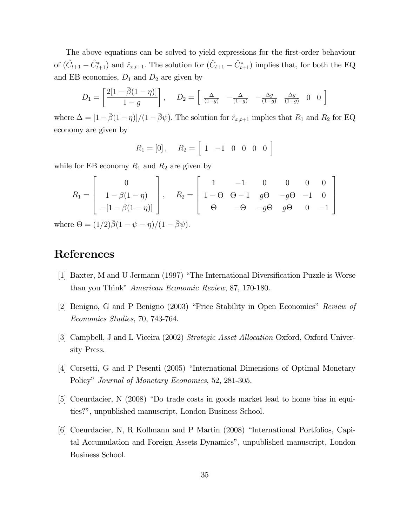The above equations can be solved to yield expressions for the first-order behaviour of  $(\hat{C}_{t+1} - \hat{C}_{t+1}^*)$  and  $\hat{r}_{x,t+1}$ . The solution for  $(\hat{C}_{t+1} - \hat{C}_{t+1}^*)$  implies that, for both the EQ and EB economies,  $D_1$  and  $D_2$  are given by

$$
D_1 = \begin{bmatrix} 2[1 - \overline{\beta}(1 - \eta)] \\ 1 - g \end{bmatrix}, \quad D_2 = \begin{bmatrix} \frac{\Delta}{(1 - g)} & -\frac{\Delta}{(1 - g)} & -\frac{\Delta g}{(1 - g)} & \frac{\Delta g}{(1 - g)} & 0 & 0 \end{bmatrix}
$$

where  $\Delta = [1 - \bar{\beta}(1 - \eta)]/(1 - \bar{\beta}\psi)$ . The solution for  $\hat{r}_{x,t+1}$  implies that  $R_1$  and  $R_2$  for EQ economy are given by

$$
R_1 = [0], \quad R_2 = [1 \ -1 \ 0 \ 0 \ 0 \ 0]
$$

while for EB economy  $R_1$  and  $R_2$  are given by

$$
R_1 = \begin{bmatrix} 0 \\ 1 - \beta(1 - \eta) \\ -[1 - \beta(1 - \eta)] \end{bmatrix}, \quad R_2 = \begin{bmatrix} 1 & -1 & 0 & 0 & 0 & 0 \\ 1 - \Theta & \Theta - 1 & g\Theta & -g\Theta & -1 & 0 \\ \Theta & -\Theta & -g\Theta & g\Theta & 0 & -1 \end{bmatrix}
$$

where  $\Theta = (1/2)\overline{\beta}(1-\psi-\eta)/(1-\overline{\beta}\psi)$ .

### References

- [1] Baxter, M and U Jermann (1997) "The International Diversification Puzzle is Worse than you Think" American Economic Review, 87, 170-180.
- [2] Benigno, G and P Benigno (2003) "Price Stability in Open Economies" Review of Economics Studies, 70, 743-764.
- [3] Campbell, J and L Viceira (2002) Strategic Asset Allocation Oxford, Oxford University Press.
- [4] Corsetti, G and P Pesenti (2005) "International Dimensions of Optimal Monetary Policy" Journal of Monetary Economics, 52, 281-305.
- [5] Coeurdacier, N (2008) "Do trade costs in goods market lead to home bias in equities?", unpublished manuscript, London Business School.
- [6] Coeurdacier, N, R Kollmann and P Martin (2008) "International Portfolios, Capital Accumulation and Foreign Assets Dynamics", unpublished manuscript, London Business School.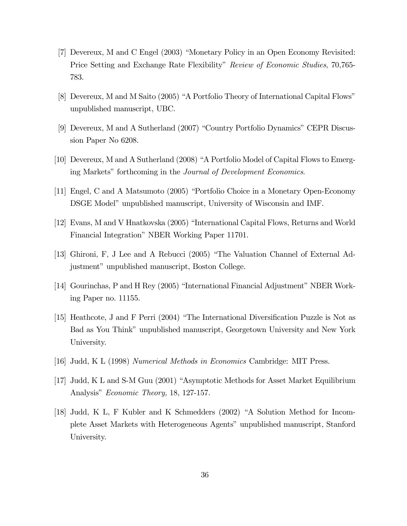- [7] Devereux, M and C Engel (2003) "Monetary Policy in an Open Economy Revisited: Price Setting and Exchange Rate Flexibility" Review of Economic Studies, 70,765- 783.
- [8] Devereux, M and M Saito (2005) "A Portfolio Theory of International Capital Flows" unpublished manuscript, UBC.
- [9] Devereux, M and A Sutherland (2007) "Country Portfolio Dynamics" CEPR Discussion Paper No 6208.
- [10] Devereux, M and A Sutherland (2008) "A Portfolio Model of Capital Flows to Emerging Markets" forthcoming in the Journal of Development Economics.
- [11] Engel, C and A Matsumoto (2005) "Portfolio Choice in a Monetary Open-Economy DSGE Model" unpublished manuscript, University of Wisconsin and IMF.
- [12] Evans, M and V Hnatkovska (2005) "International Capital Flows, Returns and World Financial Integration" NBER Working Paper 11701.
- [13] Ghironi, F, J Lee and A Rebucci (2005) "The Valuation Channel of External Adjustment" unpublished manuscript, Boston College.
- [14] Gourinchas, P and H Rey (2005) "International Financial Adjustment" NBER Working Paper no. 11155.
- [15] Heathcote, J and F Perri (2004) "The International Diversification Puzzle is Not as Bad as You Think" unpublished manuscript, Georgetown University and New York University.
- [16] Judd, K L (1998) Numerical Methods in Economics Cambridge: MIT Press.
- [17] Judd, K L and S-M Guu (2001) "Asymptotic Methods for Asset Market Equilibrium Analysis" Economic Theory, 18, 127-157.
- [18] Judd, K L, F Kubler and K Schmedders (2002) "A Solution Method for Incomplete Asset Markets with Heterogeneous Agents" unpublished manuscript, Stanford University.